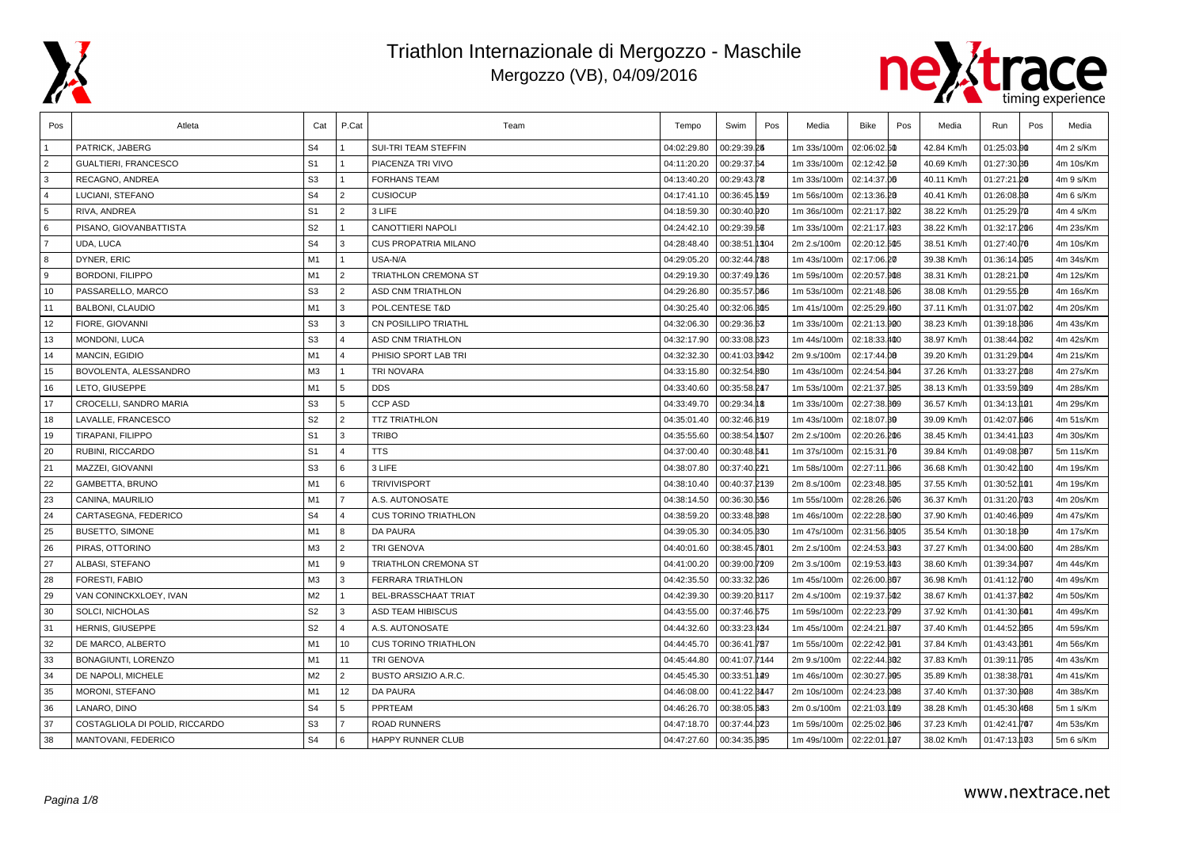



| Pos            | Atleta                         | Cat            | P.Cat                 | Team                        | Tempo       | Swim          | Pos | Media       | <b>Bike</b>   | Pos | Media      | Run          | Pos | Media     |
|----------------|--------------------------------|----------------|-----------------------|-----------------------------|-------------|---------------|-----|-------------|---------------|-----|------------|--------------|-----|-----------|
|                | PATRICK. JABERG                | S <sub>4</sub> |                       | <b>SUI-TRI TEAM STEFFIN</b> | 04:02:29.80 | 00:29:39.25   |     | 1m 33s/100m | 02:06:02.50   |     | 42.84 Km/h | 01:25:03.00  |     | 4m 2 s/Km |
| $\overline{2}$ | GUALTIERI, FRANCESCO           | S <sub>1</sub> | $\mathbf{1}$          | PIACENZA TRI VIVO           | 04:11:20.20 | 00:29:37.64   |     | 1m 33s/100m | 02:12:42.50   |     | 40.69 Km/h | 01:27:30.36  |     | 4m 10s/Km |
| 3              | <b>RECAGNO, ANDREA</b>         | S <sub>3</sub> | 1                     | <b>FORHANS TEAM</b>         | 04:13:40.20 | 00:29:43.78   |     | 1m 33s/100m | 02:14:37.06   |     | 40.11 Km/h | 01:27:21.20  |     | 4m 9 s/Km |
| $\overline{4}$ | LUCIANI, STEFANO               | S <sub>4</sub> | $\overline{2}$        | <b>CUSIOCUP</b>             | 04:17:41.10 | 00:36:45.159  |     | 1m 56s/100m | 02:13:36.20   |     | 40.41 Km/h | 01:26:08.30  |     | 4m 6 s/Km |
| 5              | RIVA, ANDREA                   | S <sub>1</sub> | $\overline{2}$        | 3 LIFE                      | 04:18:59.30 | 00:30:40.920  |     | 1m 36s/100m | 02:21:17.302  |     | 38.22 Km/h | 01:25:29.70  |     | 4m 4 s/Km |
| 6              | PISANO, GIOVANBATTISTA         | S <sub>2</sub> | $\mathbf{1}$          | CANOTTIERI NAPOLI           | 04:24:42.10 | 00:29:39.56   |     | 1m 33s/100m | 02:21:17.403  |     | 38.22 Km/h | 01:32:17.206 |     | 4m 23s/Km |
| $\overline{7}$ | UDA, LUCA                      | S <sub>4</sub> | 3                     | CUS PROPATRIA MILANO        | 04:28:48.40 | 00:38:51.1304 |     | 2m 2.s/100m | 02:20:12.505  |     | 38.51 Km/h | 01:27:40.76  |     | 4m 10s/Km |
| 8              | DYNER, ERIC                    | M <sub>1</sub> | $\mathbf{1}$          | USA-N/A                     | 04:29:05.20 | 00:32:44.788  |     | 1m 43s/100m | 02:17:06.20   |     | 39.38 Km/h | 01:36:14.005 |     | 4m 34s/Km |
| 9              | <b>BORDONI, FILIPPO</b>        | M1             | $\overline{2}$        | TRIATHLON CREMONA ST        | 04:29:19.30 | 00:37:49.136  |     | 1m 59s/100m | 02:20:57.908  |     | 38.31 Km/h | 01:28:21.00  |     | 4m 12s/Km |
| 10             | PASSARELLO, MARCO              | S <sub>3</sub> | $\overline{2}$        | <b>ASD CNM TRIATHLON</b>    | 04:29:26.80 | 00:35:57.066  |     | 1m 53s/100m | 02:21:48.606  |     | 38.08 Km/h | 01:29:55.28  |     | 4m 16s/Km |
| 11             | <b>BALBONI, CLAUDIO</b>        | M1             | 3                     | POL.CENTESE T&D             | 04:30:25.40 | 00:32:06.305  |     | 1m 41s/100m | 02:25:29.460  |     | 37.11 Km/h | 01:31:07.002 |     | 4m 20s/Km |
| 12             | FIORE, GIOVANNI                | S <sub>3</sub> | 3                     | <b>CN POSILLIPO TRIATHL</b> | 04:32:06.30 | 00:29:36.63   |     | 1m 33s/100m | 02:21:13.900  |     | 38.23 Km/h | 01:39:18.306 |     | 4m 43s/Km |
| 13             | MONDONI, LUCA                  | S <sub>3</sub> | $\Delta$              | <b>ASD CNM TRIATHLON</b>    | 04:32:17.90 | 00:33:08.623  |     | 1m 44s/100m | 02:18:33.400  |     | 38.97 Km/h | 01:38:44.002 |     | 4m 42s/Km |
| 14             | MANCIN, EGIDIO                 | M1             | $\boldsymbol{\Delta}$ | PHISIO SPORT LAB TRI        | 04:32:32.30 | 00:41:03.8942 |     | 2m 9.s/100m | 02:17:44.00   |     | 39.20 Km/h | 01:31:29.004 |     | 4m 21s/Km |
| 15             | BOVOLENTA, ALESSANDRO          | M <sub>3</sub> | $\mathbf{1}$          | <b>TRI NOVARA</b>           | 04:33:15.80 | 00:32:54.820  |     | 1m 43s/100m | 02:24:54.804  |     | 37.26 Km/h | 01:33:27.208 |     | 4m 27s/Km |
| 16             | LETO, GIUSEPPE                 | M1             | 5                     | <b>DDS</b>                  | 04:33:40.60 | 00:35:58.247  |     | 1m 53s/100m | 02:21:37.305  |     | 38.13 Km/h | 01:33:59.309 |     | 4m 28s/Km |
| 17             | CROCELLI, SANDRO MARIA         | S <sub>3</sub> | 5                     | <b>CCP ASD</b>              | 04:33:49.70 | 00:29:34.18   |     | 1m 33s/100m | 02:27:38.309  |     | 36.57 Km/h | 01:34:13.101 |     | 4m 29s/Km |
| 18             | LAVALLE, FRANCESCO             | S <sub>2</sub> | $\overline{2}$        | <b>TTZ TRIATHLON</b>        | 04:35:01.40 | 00:32:46.819  |     | 1m 43s/100m | 02:18:07.39   |     | 39.09 Km/h | 01:42:07.606 |     | 4m 51s/Km |
| 19             | TIRAPANI, FILIPPO              | S <sub>1</sub> | 3                     | <b>TRIBO</b>                | 04:35:55.60 | 00:38:54.1507 |     | 2m 2.s/100m | 02:20:26.206  |     | 38.45 Km/h | 01:34:41.093 |     | 4m 30s/Km |
| 20             | RUBINI, RICCARDO               | S <sub>1</sub> | $\overline{4}$        | <b>TTS</b>                  | 04:37:00.40 | 00:30:48.641  |     | 1m 37s/100m | 02:15:31.76   |     | 39.84 Km/h | 01:49:08.807 |     | 5m 11s/Km |
| 21             | MAZZEI, GIOVANNI               | S <sub>3</sub> | 6                     | 3 LIFE                      | 04:38:07.80 | 00:37:40.221  |     | 1m 58s/100m | 02:27:11.366  |     | 36.68 Km/h | 01:30:42.000 |     | 4m 19s/Km |
| 22             | <b>GAMBETTA, BRUNO</b>         | M1             | 6                     | <b>TRIVIVISPORT</b>         | 04:38:10.40 | 00:40:37.2139 |     | 2m 8.s/100m | 02:23:48.305  |     | 37.55 Km/h | 01:30:52.001 |     | 4m 19s/Km |
| 23             | CANINA, MAURILIO               | M1             | $\overline{7}$        | A.S. AUTONOSATE             | 04:38:14.50 | 00:36:30.556  |     | 1m 55s/100m | 02:28:26.606  |     | 36.37 Km/h | 01:31:20.703 |     | 4m 20s/Km |
| 24             | CARTASEGNA, FEDERICO           | S <sub>4</sub> | $\overline{4}$        | <b>CUS TORINO TRIATHLON</b> | 04:38:59.20 | 00:33:48.328  |     | 1m 46s/100m | 02:22:28.600  |     | 37.90 Km/h | 01:40:46.909 |     | 4m 47s/Km |
| 25             | <b>BUSETTO, SIMONE</b>         | M1             | 8                     | <b>DA PAURA</b>             | 04:39:05.30 | 00:34:05.330  |     | 1m 47s/100m | 02:31:56.3005 |     | 35.54 Km/h | 01:30:18.39  |     | 4m 17s/Km |
| 26             | PIRAS, OTTORINO                | MЗ             | $\overline{2}$        | TRI GENOVA                  | 04:40:01.60 | 00:38:45.7801 |     | 2m 2.s/100m | 02:24:53.303  |     | 37.27 Km/h | 01:34:00.600 |     | 4m 28s/Km |
| 27             | ALBASI, STEFANO                | M1             | 9                     | TRIATHLON CREMONA ST        | 04:41:00.20 | 00:39:00.7209 |     | 2m 3.s/100m | 02:19:53.403  |     | 38.60 Km/h | 01:39:34.007 |     | 4m 44s/Km |
| 28             | FORESTI, FABIO                 | MЗ             | 3                     | <b>FERRARA TRIATHLON</b>    | 04:42:35.50 | 00:33:32.026  |     | 1m 45s/100m | 02:26:00.867  |     | 36.98 Km/h | 01:41:12.700 |     | 4m 49s/Km |
| 29             | VAN CONINCKXLOEY, IVAN         | M <sub>2</sub> | $\overline{1}$        | BEL-BRASSCHAAT TRIAT        | 04:42:39.30 | 00:39:20.8117 |     | 2m 4.s/100m | 02:19:37.502  |     | 38.67 Km/h | 01:41:37.802 |     | 4m 50s/Km |
| 30             | <b>SOLCI, NICHOLAS</b>         | S <sub>2</sub> | $\overline{3}$        | <b>ASD TEAM HIBISCUS</b>    | 04:43:55.00 | 00:37:46.575  |     | 1m 59s/100m | 02:22:23.709  |     | 37.92 Km/h | 01:41:30.601 |     | 4m 49s/Km |
| 31             | HERNIS, GIUSEPPE               | S <sub>2</sub> | $\Delta$              | A.S. AUTONOSATE             | 04:44:32.60 | 00:33:23.424  |     | 1m 45s/100m | 02:24:21.807  |     | 37.40 Km/h | 01:44:52.865 |     | 4m 59s/Km |
| 32             | DE MARCO, ALBERTO              | M1             | 10                    | <b>CUS TORINO TRIATHLON</b> | 04:44:45.70 | 00:36:41.787  |     | 1m 55s/100m | 02:22:42.901  |     | 37.84 Km/h | 01:43:43.861 |     | 4m 56s/Km |
| 33             | BONAGIUNTI, LORENZO            | M1             | 11                    | <b>TRI GENOVA</b>           | 04:45:44.80 | 00:41:07.7144 |     | 2m 9.s/100m | 02:22:44.802  |     | 37.83 Km/h | 01:39:11.705 |     | 4m 43s/Km |
| 34             | DE NAPOLI, MICHELE             | M <sub>2</sub> | $\overline{2}$        | BUSTO ARSIZIO A.R.C.        | 04:45:45.30 | 00:33:51.129  |     | 1m 46s/100m | 02:30:27.995  |     | 35.89 Km/h | 01:38:38.701 |     | 4m 41s/Km |
| 35             | MORONI, STEFANO                | M1             | 12                    | <b>DA PAURA</b>             | 04:46:08.00 | 00:41:22.8447 |     | 2m 10s/100m | 02:24:23.008  |     | 37.40 Km/h | 01:37:30.008 |     | 4m 38s/Km |
| 36             | LANARO, DINO                   | S <sub>4</sub> | 5                     | PPRTEAM                     | 04:46:26.70 | 00:38:05.683  |     | 2m 0.s/100m | 02:21:03.109  |     | 38.28 Km/h | 01:45:30.468 |     | 5m 1 s/Km |
| 37             | COSTAGLIOLA DI POLID, RICCARDO | S <sub>3</sub> | $\overline{7}$        | <b>ROAD RUNNERS</b>         | 04:47:18.70 | 00:37:44.023  |     | 1m 59s/100m | 02:25:02.306  |     | 37.23 Km/h | 01:42:41.707 |     | 4m 53s/Km |
| 38             | MANTOVANI, FEDERICO            | S <sub>4</sub> | 6                     | HAPPY RUNNER CLUB           | 04:47:27.60 | 00:34:35.395  |     | 1m 49s/100m | 02:22:01.107  |     | 38.02 Km/h | 01:47:13.103 |     | 5m 6 s/Km |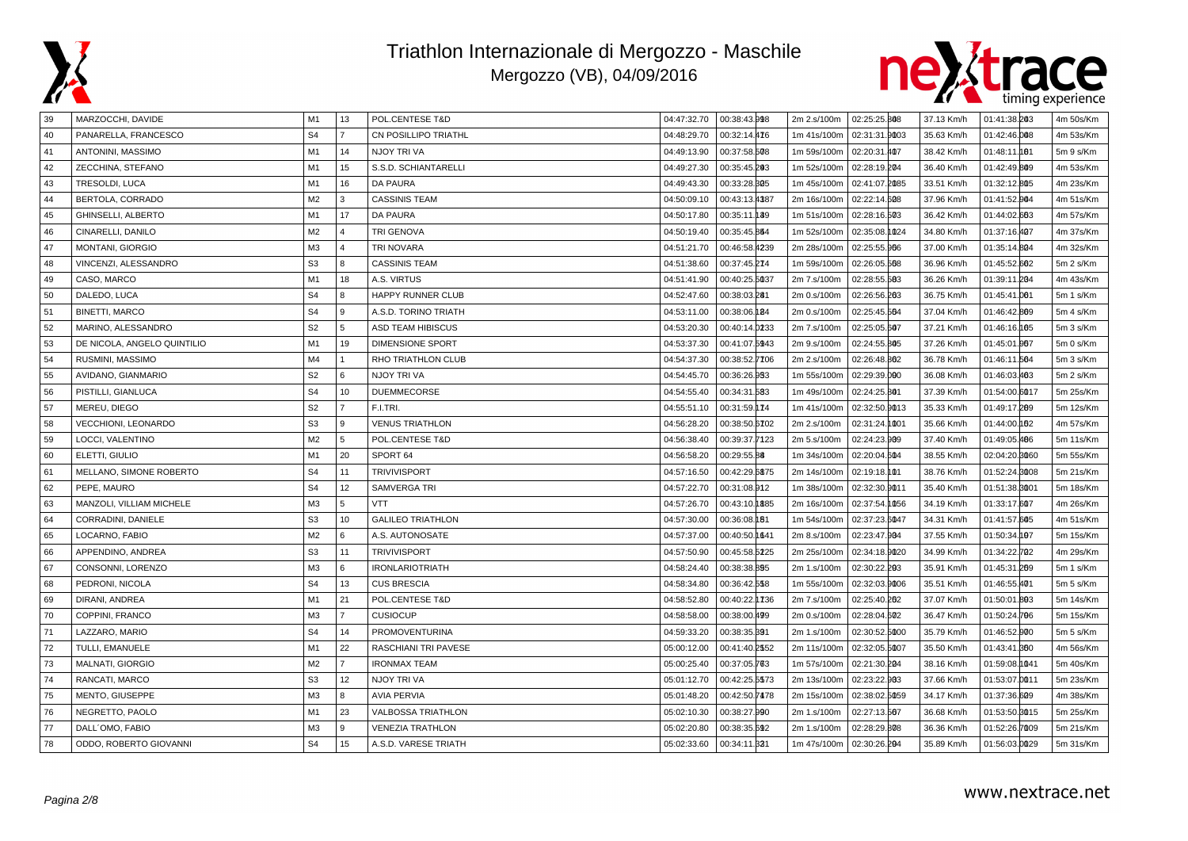



| 39 | MARZOCCHI, DAVIDE           | M1             | 13             | <b>POL.CENTESE T&amp;D</b>  | 04:47:32.70 | 00:38:43.998  | 2m 2.s/100m | 02:25:25.808  | 37.13 Km/h | 01:41:38.203  | 4m 50s/Km |
|----|-----------------------------|----------------|----------------|-----------------------------|-------------|---------------|-------------|---------------|------------|---------------|-----------|
| 40 | PANARELLA, FRANCESCO        | S <sub>4</sub> | $\overline{7}$ | <b>CN POSILLIPO TRIATHL</b> | 04:48:29.70 | 00:32:14.476  | 1m 41s/100m | 02:31:31.9003 | 35.63 Km/h | 01:42:46.008  | 4m 53s/Km |
| 41 | ANTONINI, MASSIMO           | M <sub>1</sub> | 14             | NJOY TRI VA                 | 04:49:13.90 | 00:37:58.508  | 1m 59s/100m | 02:20:31.407  | 38.42 Km/h | 01:48:11.001  | 5m 9 s/Km |
| 42 | ZECCHINA, STEFANO           | M <sub>1</sub> | 15             | S.S.D. SCHIANTARELLI        | 04:49:27.30 | 00:35:45.203  | 1m 52s/100m | 02:28:19.204  | 36.40 Km/h | 01:42:49.809  | 4m 53s/Km |
| 43 | TRESOLDI, LUCA              | M <sub>1</sub> | 16             | <b>DA PAURA</b>             | 04:49:43.30 | 00:33:28.805  | 1m 45s/100m | 02:41:07.2085 | 33.51 Km/h | 01:32:12.805  | 4m 23s/Km |
| 44 | BERTOLA, CORRADO            | M <sub>2</sub> | 3              | <b>CASSINIS TEAM</b>        | 04:50:09.10 | 00:43:13.4387 | 2m 16s/100m | 02:22:14.608  | 37.96 Km/h | 01:41:52.004  | 4m 51s/Km |
| 45 | <b>GHINSELLI, ALBERTO</b>   | M1             | 17             | <b>DA PAURA</b>             | 04:50:17.80 | 00:35:11.189  | 1m 51s/100m | 02:28:16.503  | 36.42 Km/h | 01:44:02.663  | 4m 57s/Km |
| 46 | CINARELLI, DANILO           | M <sub>2</sub> | $\overline{4}$ | <b>TRI GENOVA</b>           | 04:50:19.40 | 00:35:45.864  | 1m 52s/100m | 02:35:08.1024 | 34.80 Km/h | 01:37:16.407  | 4m 37s/Km |
| 47 | MONTANI, GIORGIO            | M3             | $\overline{4}$ | <b>TRI NOVARA</b>           | 04:51:21.70 | 00:46:58.4239 | 2m 28s/100m | 02:25:55.966  | 37.00 Km/h | 01:35:14.804  | 4m 32s/Km |
| 48 | VINCENZI, ALESSANDRO        | S <sub>3</sub> | 8              | <b>CASSINIS TEAM</b>        | 04:51:38.60 | 00:37:45.274  | 1m 59s/100m | 02:26:05.568  | 36.96 Km/h | 01:45:52.602  | 5m 2 s/Km |
| 49 | CASO, MARCO                 | M <sub>1</sub> | 18             | A.S. VIRTUS                 | 04:51:41.90 | 00:40:25.5037 | 2m 7.s/100m | 02:28:55.583  | 36.26 Km/h | 01:39:11.204  | 4m 43s/Km |
| 50 | DALEDO, LUCA                | S <sub>4</sub> | 8              | HAPPY RUNNER CLUB           | 04:52:47.60 | 00:38:03.281  | 2m 0.s/100m | 02:26:56.203  | 36.75 Km/h | 01:45:41.001  | 5m 1 s/Km |
| 51 | <b>BINETTI, MARCO</b>       | S <sub>4</sub> | 9              | A.S.D. TORINO TRIATH        | 04:53:11.00 | 00:38:06.184  | 2m 0.s/100m | 02:25:45.564  | 37.04 Km/h | 01:46:42.809  | 5m 4 s/Km |
| 52 | MARINO, ALESSANDRO          | S <sub>2</sub> | 5              | ASD TEAM HIBISCUS           | 04:53:20.30 | 00:40:14.0233 | 2m 7.s/100m | 02:25:05.607  | 37.21 Km/h | 01:46:16.165  | 5m 3 s/Km |
| 53 | DE NICOLA, ANGELO QUINTILIO | M <sub>1</sub> | 19             | <b>DIMENSIONE SPORT</b>     | 04:53:37.30 | 00:41:07.5943 | 2m 9.s/100m | 02:24:55.805  | 37.26 Km/h | 01:45:01.007  | 5m 0 s/Km |
| 54 | RUSMINI, MASSIMO            | M4             | $\vert$ 1      | RHO TRIATHLON CLUB          | 04:54:37.30 | 00:38:52.7706 | 2m 2.s/100m | 02:26:48.802  | 36.78 Km/h | 01:46:11.564  | 5m 3 s/Km |
| 55 | AVIDANO, GIANMARIO          | S <sub>2</sub> | 6              | NJOY TRI VA                 | 04:54:45.70 | 00:36:26.953  | 1m 55s/100m | 02:29:39.000  | 36.08 Km/h | 01:46:03.463  | 5m 2 s/Km |
| 56 | PISTILLI, GIANLUCA          | S <sub>4</sub> | 10             | <b>DUEMMECORSE</b>          | 04:54:55.40 | 00:34:31.583  | 1m 49s/100m | 02:24:25.801  | 37.39 Km/h | 01:54:00.6017 | 5m 25s/Km |
| 57 | MEREU. DIEGO                | S <sub>2</sub> | $\overline{7}$ | F.I.TRI.                    | 04:55:51.10 | 00:31:59.174  | 1m 41s/100m | 02:32:50.9013 | 35.33 Km/h | 01:49:17.289  | 5m 12s/Km |
| 58 | <b>VECCHIONI, LEONARDO</b>  | S <sub>3</sub> | 9              | <b>VENUS TRIATHLON</b>      | 04:56:28.20 | 00:38:50.6702 | 2m 2.s/100m | 02:31:24.1001 | 35.66 Km/h | 01:44:00.092  | 4m 57s/Km |
| 59 | LOCCI, VALENTINO            | M2             | 5              | POL.CENTESE T&D             | 04:56:38.40 | 00:39:37.7123 | 2m 5.s/100m | 02:24:23.909  | 37.40 Km/h | 01:49:05.486  | 5m 11s/Km |
| 60 | ELETTI, GIULIO              | M <sub>1</sub> | 20             | SPORT 64                    | 04:56:58.20 | 00:29:55.88   | 1m 34s/100m | 02:20:04.604  | 38.55 Km/h | 02:04:20.3060 | 5m 55s/Km |
| 61 | MELLANO, SIMONE ROBERTO     | S <sub>4</sub> | 11             | <b>TRIVIVISPORT</b>         | 04:57:16.50 | 00:42:29.6875 | 2m 14s/100m | 02:19:18.101  | 38.76 Km/h | 01:52:24.8008 | 5m 21s/Km |
| 62 | PEPE, MAURO                 | S <sub>4</sub> | 12             | <b>SAMVERGA TRI</b>         | 04:57:22.70 | 00:31:08.912  | 1m 38s/100m | 02:32:30.0011 | 35.40 Km/h | 01:51:38.3001 | 5m 18s/Km |
| 63 | MANZOLI, VILLIAM MICHELE    | M <sub>3</sub> | 5              | <b>VTT</b>                  | 04:57:26.70 | 00:43:10.1885 | 2m 16s/100m | 02:37:54.1056 | 34.19 Km/h | 01:33:17.607  | 4m 26s/Km |
| 64 | CORRADINI, DANIELE          | S <sub>3</sub> | 10             | <b>GALILEO TRIATHLON</b>    | 04:57:30.00 | 00:36:08.181  | 1m 54s/100m | 02:37:23.6047 | 34.31 Km/h | 01:41:57.605  | 4m 51s/Km |
| 65 | LOCARNO, FABIO              | M2             | 6              | A.S. AUTONOSATE             | 04:57:37.00 | 00:40:50.1641 | 2m 8.s/100m | 02:23:47.904  | 37.55 Km/h | 01:50:34.197  | 5m 15s/Km |
| 66 | APPENDINO, ANDREA           | S <sub>3</sub> | 11             | <b>TRIVIVISPORT</b>         | 04:57:50.90 | 00:45:58.5225 | 2m 25s/100m | 02:34:18.9020 | 34.99 Km/h | 01:34:22.702  | 4m 29s/Km |
| 67 | CONSONNI, LORENZO           | M <sub>3</sub> | 6              | <b>IRONLARIOTRIATH</b>      | 04:58:24.40 | 00:38:38.895  | 2m 1.s/100m | 02:30:22.203  | 35.91 Km/h | 01:45:31.269  | 5m 1 s/Km |
| 68 | PEDRONI, NICOLA             | S <sub>4</sub> | 13             | <b>CUS BRESCIA</b>          | 04:58:34.80 | 00:36:42.558  | 1m 55s/100m | 02:32:03.9006 | 35.51 Km/h | 01:46:55.401  | 5m 5 s/Km |
| 69 | DIRANI, ANDREA              | M <sub>1</sub> | 21             | POL.CENTESE T&D             | 04:58:52.80 | 00:40:22.1736 | 2m 7.s/100m | 02:25:40.202  | 37.07 Km/h | 01:50:01.803  | 5m 14s/Km |
| 70 | COPPINI, FRANCO             | M3             | $\overline{7}$ | <b>CUSIOCUP</b>             | 04:58:58.00 | 00:38:00.499  | 2m 0.s/100m | 02:28:04.602  | 36.47 Km/h | 01:50:24.706  | 5m 15s/Km |
| 71 | LAZZARO, MARIO              | S <sub>4</sub> | 14             | PROMOVENTURINA              | 04:59:33.20 | 00:38:35.391  | 2m 1.s/100m | 02:30:52.5000 | 35.79 Km/h | 01:46:52.000  | 5m 5 s/Km |
| 72 | TULLI, EMANUELE             | M <sub>1</sub> | 22             | RASCHIANI TRI PAVESE        | 05:00:12.00 | 00:41:40.2552 | 2m 11s/100m | 02:32:05.5007 | 35.50 Km/h | 01:43:41.860  | 4m 56s/Km |
| 73 | MALNATI, GIORGIO            | M2             | $\overline{7}$ | <b>IRONMAX TEAM</b>         | 05:00:25.40 | 00:37:05.763  | 1m 57s/100m | 02:21:30.204  | 38.16 Km/h | 01:59:08.1041 | 5m 40s/Km |
| 74 | RANCATI, MARCO              | S <sub>3</sub> | 12             | NJOY TRI VA                 | 05:01:12.70 | 00:42:25.5573 | 2m 13s/100m | 02:23:22.903  | 37.66 Km/h | 01:53:07.0011 | 5m 23s/Km |
| 75 | MENTO, GIUSEPPE             | M <sub>3</sub> | 8              | <b>AVIA PERVIA</b>          | 05:01:48.20 | 00:42:50.7478 | 2m 15s/100m | 02:38:02.5059 | 34.17 Km/h | 01:37:36.609  | 4m 38s/Km |
| 76 | NEGRETTO, PAOLO             | M1             | 23             | <b>VALBOSSA TRIATHLON</b>   | 05:02:10.30 | 00:38:27.990  | 2m 1.s/100m | 02:27:13.567  | 36.68 Km/h | 01:53:50.3015 | 5m 25s/Km |
| 77 | DALL'OMO, FABIO             | M <sub>3</sub> | 9              | <b>VENEZIA TRATHLON</b>     | 05:02:20.80 | 00:38:35.692  | 2m 1.s/100m | 02:28:29.808  | 36.36 Km/h | 01:52:26.7009 | 5m 21s/Km |
| 78 | ODDO, ROBERTO GIOVANNI      | S <sub>4</sub> | 15             | A.S.D. VARESE TRIATH        | 05:02:33.60 | 00:34:11.321  | 1m 47s/100m | 02:30:26.204  | 35.89 Km/h | 01:56:03.0029 | 5m 31s/Km |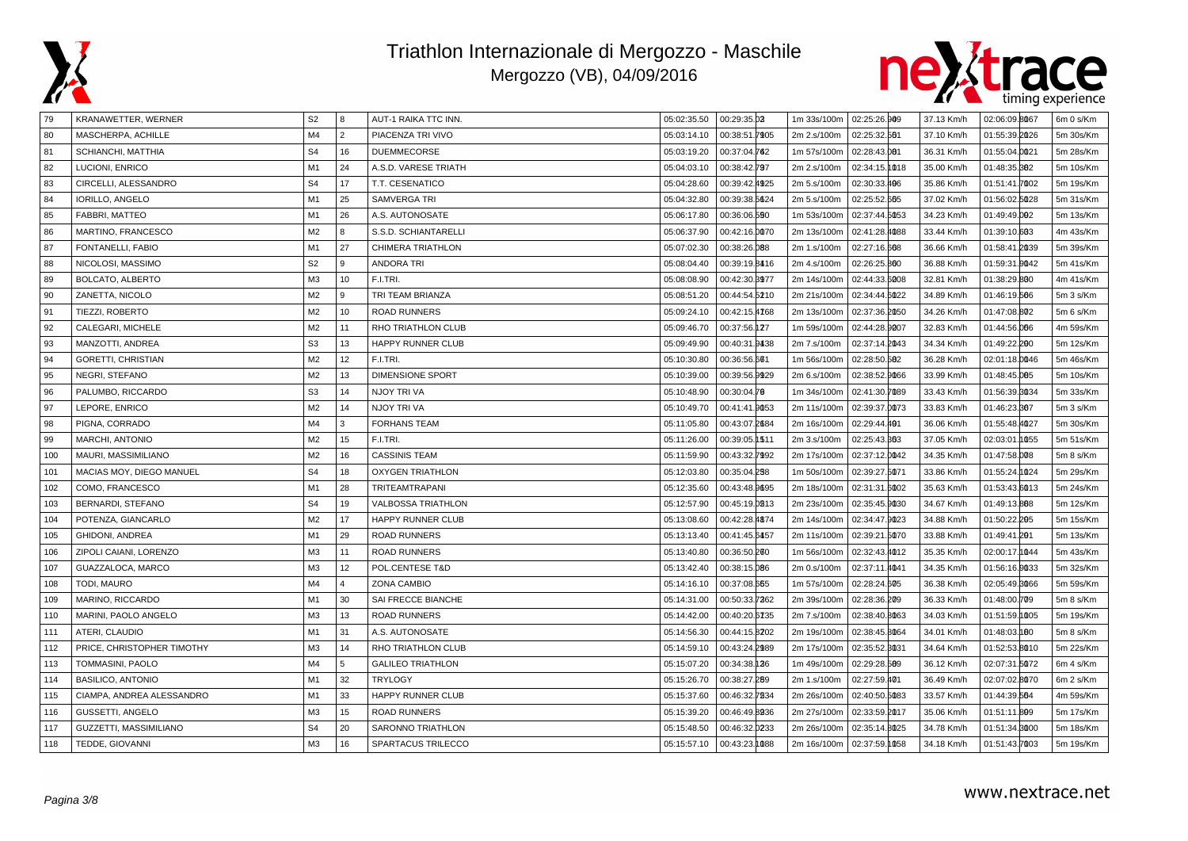



| 79  | KRANAWETTER, WERNER        | S <sub>2</sub> | 8              | AUT-1 RAIKA TTC INN.      | 05:02:35.50 | 00:29:35.02   | 1m 33s/100m   02:25:26.909 |               | 37.13 Km/h | 02:06:09.8067     | 6m 0 s/Km |
|-----|----------------------------|----------------|----------------|---------------------------|-------------|---------------|----------------------------|---------------|------------|-------------------|-----------|
| 80  | MASCHERPA, ACHILLE         | M <sub>4</sub> | $\overline{2}$ | PIACENZA TRI VIVO         | 05:03:14.10 | 00:38:51.7905 | 2m 2.s/100m                | 02:25:32.561  | 37.10 Km/h | 01:55:39.2026     | 5m 30s/Km |
| 81  | SCHIANCHI, MATTHIA         | S <sub>4</sub> | 16             | <b>DUEMMECORSE</b>        | 05:03:19.20 | 00:37:04.762  | 1m 57s/100m                | 02:28:43.001  | 36.31 Km/h | 01:55:04.0021     | 5m 28s/Km |
| 82  | LUCIONI, ENRICO            | M1             | 24             | A.S.D. VARESE TRIATH      | 05:04:03.10 | 00:38:42.797  | 2m 2.s/100m                | 02:34:15.1018 | 35.00 Km/h | 01:48:35.382      | 5m 10s/Km |
| 83  | CIRCELLI, ALESSANDRO       | S <sub>4</sub> | 17             | T.T. CESENATICO           | 05:04:28.60 | 00:39:42.4925 | 2m 5.s/100m                | 02:30:33.496  | 35.86 Km/h | 01:51:41.7002     | 5m 19s/Km |
| 84  | <b>IORILLO, ANGELO</b>     | M1             | 25             | SAMVERGA TRI              | 05:04:32.80 | 00:39:38.5624 | 2m 5.s/100m                | 02:25:52.665  | 37.02 Km/h | 01:56:02.5028     | 5m 31s/Km |
| 85  | FABBRI, MATTEO             | M <sub>1</sub> | 26             | A.S. AUTONOSATE           | 05:06:17.80 | 00:36:06.590  | 1m 53s/100m                | 02:37:44.5053 | 34.23 Km/h | 01:49:49.002      | 5m 13s/Km |
| 86  | MARTINO, FRANCESCO         | M <sub>2</sub> | 8              | S.S.D. SCHIANTARELLI      | 05:06:37.90 | 00:42:16.0070 | 2m 13s/100m                | 02:41:28.4088 | 33.44 Km/h | 01:39:10.603      | 4m 43s/Km |
| 87  | FONTANELLI, FABIO          | M1             | 27             | <b>CHIMERA TRIATHLON</b>  | 05:07:02.30 | 00:38:26.088  | 2m 1.s/100m                | 02:27:16.608  | 36.66 Km/h | 01:58:41.2039     | 5m 39s/Km |
| 88  | NICOLOSI, MASSIMO          | S <sub>2</sub> | $\mathbf{q}$   | <b>ANDORA TRI</b>         | 05:08:04.40 | 00:39:19.8416 | 2m 4.s/100m                | 02:26:25.800  | 36.88 Km/h | 01:59:31.0042     | 5m 41s/Km |
| 89  | BOLCATO, ALBERTO           | M <sub>3</sub> | 10             | F.I.TRI.                  | 05:08:08.90 | 00:42:30.3977 | 2m 14s/100m                | 02:44:33.6008 | 32.81 Km/h | 01:38:29.800      | 4m 41s/Km |
| 90  | ZANETTA, NICOLO            | M <sub>2</sub> | 9              | TRI TEAM BRIANZA          | 05:08:51.20 | 00:44:54.5210 | 2m 21s/100m                | 02:34:44.6022 | 34.89 Km/h | 01:46:19.566      | 5m 3 s/Km |
| 91  | TIEZZI, ROBERTO            | M <sub>2</sub> | 10             | <b>ROAD RUNNERS</b>       | 05:09:24.10 | 00:42:15.4768 | 2m 13s/100m                | 02:37:36.2050 | 34.26 Km/h | 01:47:08.802      | 5m 6 s/Km |
| 92  | CALEGARI, MICHELE          | M <sub>2</sub> | 11             | RHO TRIATHLON CLUB        | 05:09:46.70 | 00:37:56.127  | 1m 59s/100m                | 02:44:28.9007 | 32.83 Km/h | 01:44:56.066      | 4m 59s/Km |
| 93  | MANZOTTI, ANDREA           | S <sub>3</sub> | 13             | HAPPY RUNNER CLUB         | 05:09:49.90 | 00:40:31.9438 | 2m 7.s/100m                | 02:37:14.2043 | 34.34 Km/h | 01:49:22.200      | 5m 12s/Km |
| 94  | <b>GORETTI, CHRISTIAN</b>  | M <sub>2</sub> | 12             | F.I.TRI.                  | 05:10:30.80 | 00:36:56.601  | 1m 56s/100m                | 02:28:50.582  | 36.28 Km/h | 02:01:18.0046     | 5m 46s/Km |
| 95  | NEGRI, STEFANO             | M <sub>2</sub> | 13             | <b>DIMENSIONE SPORT</b>   | 05:10:39.00 | 00:39:56.9929 | 2m 6.s/100m                | 02:38:52.9066 | 33.99 Km/h | 01:48:45.005      | 5m 10s/Km |
| 96  | PALUMBO, RICCARDO          | S <sub>3</sub> | 14             | NJOY TRI VA               | 05:10:48.90 | 00:30:04.70   | 1m 34s/100m                | 02:41:30.7089 | 33.43 Km/h | 01:56:39.3034     | 5m 33s/Km |
| 97  | LEPORE, ENRICO             | M <sub>2</sub> | 14             | NJOY TRI VA               | 05:10:49.70 | 00:41:41.9053 | 2m 11s/100m                | 02:39:37.0073 | 33.83 Km/h | 01:46:23.867      | 5m 3 s/Km |
| 98  | PIGNA, CORRADO             | M <sub>4</sub> | 3              | <b>FORHANS TEAM</b>       | 05:11:05.80 | 00:43:07.2684 | 2m 16s/100m                | 02:29:44.401  | 36.06 Km/h | 01:55:48.4027     | 5m 30s/Km |
| 99  | MARCHI, ANTONIO            | M2             | 15             | F.I.TRI.                  | 05:11:26.00 | 00:39:05.1511 | 2m 3.s/100m                | 02:25:43.363  | 37.05 Km/h | 02:03:01.1055     | 5m 51s/Km |
| 100 | MAURI, MASSIMILIANO        | M <sub>2</sub> | 16             | <b>CASSINIS TEAM</b>      | 05:11:59.90 | 00:43:32.7992 | 2m 17s/100m                | 02:37:12.0042 | 34.35 Km/h | 01:47:58.008      | 5m 8 s/Km |
| 101 | MACIAS MOY, DIEGO MANUEL   | S <sub>4</sub> | 18             | <b>OXYGEN TRIATHLON</b>   | 05:12:03.80 | 00:35:04.258  | 1m 50s/100m                | 02:39:27.5071 | 33.86 Km/h | 01:55:24.1024     | 5m 29s/Km |
| 102 | COMO, FRANCESCO            | M <sub>1</sub> | 28             | TRITEAMTRAPANI            | 05:12:35.60 | 00:43:48.9695 | 2m 18s/100m                | 02:31:31.6002 | 35.63 Km/h | 01:53:43.6013     | 5m 24s/Km |
| 103 | <b>BERNARDI, STEFANO</b>   | S <sub>4</sub> | 19             | <b>VALBOSSA TRIATHLON</b> | 05:12:57.90 | 00:45:19.0813 | 2m 23s/100m                | 02:35:45.9030 | 34.67 Km/h | 01:49:13.888      | 5m 12s/Km |
| 104 | POTENZA, GIANCARLO         | M <sub>2</sub> | 17             | HAPPY RUNNER CLUB         | 05:13:08.60 | 00:42:28.4874 | 2m 14s/100m                | 02:34:47.9023 | 34.88 Km/h | 01:50:22.205      | 5m 15s/Km |
| 105 | <b>GHIDONI, ANDREA</b>     | M1             | 29             | <b>ROAD RUNNERS</b>       | 05:13:13.40 | 00:41:45.6457 | 2m 11s/100m                | 02:39:21.5070 | 33.88 Km/h | 01:49:41.201      | 5m 13s/Km |
| 106 | ZIPOLI CAIANI, LORENZO     | M <sub>3</sub> | 11             | <b>ROAD RUNNERS</b>       | 05:13:40.80 | 00:36:50.200  | 1m 56s/100m                | 02:32:43.4012 | 35.35 Km/h | 02:00:17.<br>ho44 | 5m 43s/Km |
| 107 | GUAZZALOCA, MARCO          | M3             | 12             | POL.CENTESE T&D           | 05:13:42.40 | 00:38:15.086  | 2m 0.s/100m                | 02:37:11.4041 | 34.35 Km/h | 01:56:16.0033     | 5m 32s/Km |
| 108 | TODI, MAURO                | M <sub>4</sub> | $\Delta$       | <b>ZONA CAMBIO</b>        | 05:14:16.10 | 00:37:08.665  | 1m 57s/100m                | 02:28:24.605  | 36.38 Km/h | 02:05:49.8066     | 5m 59s/Km |
| 109 | MARINO, RICCARDO           | M1             | 30             | SAI FRECCE BIANCHE        | 05:14:31.00 | 00:50:33.7262 | 2m 39s/100m                | 02:28:36.209  | 36.33 Km/h | 01:48:00.709      | 5m 8 s/Km |
| 110 | MARINI, PAOLO ANGELO       | M <sub>3</sub> | 13             | <b>ROAD RUNNERS</b>       | 05:14:42.00 | 00:40:20.6735 | 2m 7.s/100m                | 02:38:40.8063 | 34.03 Km/h | 01:51:59.1005     | 5m 19s/Km |
| 111 | ATERI, CLAUDIO             | M1             | 31             | A.S. AUTONOSATE           | 05:14:56.30 | 00:44:15.8202 | 2m 19s/100m                | 02:38:45.8064 | 34.01 Km/h | 01:48:03.180      | 5m 8 s/Km |
| 112 | PRICE, CHRISTOPHER TIMOTHY | M <sub>3</sub> | 14             | RHO TRIATHLON CLUB        | 05:14:59.10 | 00:43:24.2989 | 2m 17s/100m                | 02:35:52.3031 | 34.64 Km/h | 01:52:53.8010     | 5m 22s/Km |
| 113 | TOMMASINI, PAOLO           | M <sub>4</sub> | 5              | <b>GALILEO TRIATHLON</b>  | 05:15:07.20 | 00:34:38.126  | 1m 49s/100m                | 02:29:28.509  | 36.12 Km/h | 02:07:31.5072     | 6m 4 s/Km |
| 114 | <b>BASILICO, ANTONIO</b>   | M1             | 32             | <b>TRYLOGY</b>            | 05:15:26.70 | 00:38:27.289  | 2m 1.s/100m                | 02:27:59.401  | 36.49 Km/h | 02:07:02.8070     | 6m 2 s/Km |
| 115 | CIAMPA, ANDREA ALESSANDRO  | M <sub>1</sub> | 33             | <b>HAPPY RUNNER CLUB</b>  | 05:15:37.60 | 00:46:32.7834 | 2m 26s/100m                | 02:40:50.5083 | 33.57 Km/h | 01:44:39.564      | 4m 59s/Km |
| 116 | <b>GUSSETTI, ANGELO</b>    | M <sub>3</sub> | 15             | <b>ROAD RUNNERS</b>       | 05:15:39.20 | 00:46:49.8936 | 2m 27s/100m                | 02:33:59.2017 | 35.06 Km/h | 01:51:11.809      | 5m 17s/Km |
| 117 | GUZZETTI, MASSIMILIANO     | S <sub>4</sub> | 20             | SARONNO TRIATHLON         | 05:15:48.50 | 00:46:32.0233 | 2m 26s/100m                | 02:35:14.8025 | 34.78 Km/h | 01:51:34.8000     | 5m 18s/Km |
| 118 | TEDDE, GIOVANNI            | M3             | 16             | SPARTACUS TRILECCO        | 05:15:57.10 | 00:43:23.1088 | 2m 16s/100m                | 02:37:59.1058 | 34.18 Km/h | 01:51:43.7003     | 5m 19s/Km |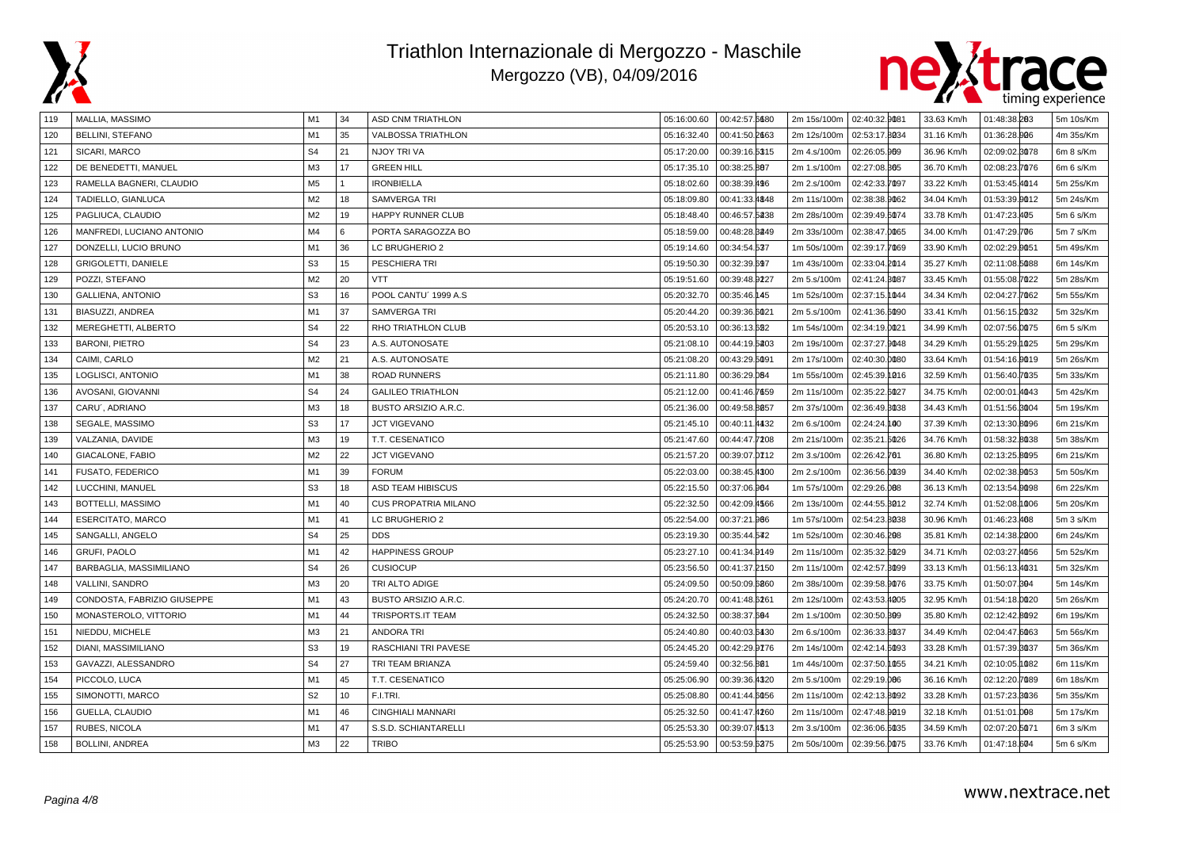



| 119 | MALLIA, MASSIMO             | M1             | 34 | <b>ASD CNM TRIATHLON</b>    | 05:16:00.60 | 00:42:57.6680 | 2m 15s/100m   02:40:32.9081 |               | 33.63 Km/h | 01:48:38.203      | 5m 10s/Km |
|-----|-----------------------------|----------------|----|-----------------------------|-------------|---------------|-----------------------------|---------------|------------|-------------------|-----------|
| 120 | <b>BELLINI, STEFANO</b>     | M1             | 35 | <b>VALBOSSA TRIATHLON</b>   | 05:16:32.40 | 00:41:50.2663 | 2m 12s/100m                 | 02:53:17.8034 | 31.16 Km/h | 01:36:28.906      | 4m 35s/Km |
| 121 | SICARI, MARCO               | S <sub>4</sub> | 21 | NJOY TRI VA                 | 05:17:20.00 | 00:39:16.5315 | 2m 4.s/100m                 | 02:26:05.909  | 36.96 Km/h | 02:09:02.8078     | 6m 8 s/Km |
| 122 | DE BENEDETTI, MANUEL        | M3             | 17 | <b>GREEN HILL</b>           | 05:17:35.10 | 00:38:25.807  | 2m 1.s/100m                 | 02:27:08.305  | 36.70 Km/h | 02:08:23.7076     | 6m 6 s/Km |
| 123 | RAMELLA BAGNERI, CLAUDIO    | M <sub>5</sub> |    | <b>IRONBIELLA</b>           | 05:18:02.60 | 00:38:39.496  | 2m 2.s/100m                 | 02:42:33.7097 | 33.22 Km/h | 01:53:45.4014     | 5m 25s/Km |
| 124 | TADIELLO, GIANLUCA          | M <sub>2</sub> | 18 | <b>SAMVERGA TRI</b>         | 05:18:09.80 | 00:41:33.4848 | 2m 11s/100m                 | 02:38:38.9062 | 34.04 Km/h | 01:53:39.0012     | 5m 24s/Km |
| 125 | PAGLIUCA, CLAUDIO           | M <sub>2</sub> | 19 | HAPPY RUNNER CLUB           | 05:18:48.40 | 00:46:57.5238 | 2m 28s/100m                 | 02:39:49.6074 | 33.78 Km/h | 01:47:23.405      | 5m 6 s/Km |
| 126 | MANFREDI, LUCIANO ANTONIO   | M4             | 6  | PORTA SARAGOZZA BO          | 05:18:59.00 | 00:48:28.3249 | 2m 33s/100m                 | 02:38:47.0065 | 34.00 Km/h | 01:47:29.706      | 5m 7 s/Km |
| 127 | DONZELLI, LUCIO BRUNO       | M1             | 36 | LC BRUGHERIO 2              | 05:19:14.60 | 00:34:54.537  | 1m 50s/100m                 | 02:39:17.7069 | 33.90 Km/h | 02:02:29.0051     | 5m 49s/Km |
| 128 | <b>GRIGOLETTI, DANIELE</b>  | S <sub>3</sub> | 15 | PESCHIERA TRI               | 05:19:50.30 | 00:32:39.697  | 1m 43s/100m                 | 02:33:04.2014 | 35.27 Km/h | 02:11:08.5088     | 6m 14s/Km |
| 129 | POZZI, STEFANO              | M <sub>2</sub> | 20 | <b>VTT</b>                  | 05:19:51.60 | 00:39:48.9227 | 2m 5.s/100m                 | 02:41:24.3087 | 33.45 Km/h | 01:55:08.7022     | 5m 28s/Km |
| 130 | <b>GALLIENA, ANTONIO</b>    | S <sub>3</sub> | 16 | POOL CANTU' 1999 A.S        | 05:20:32.70 | 00:35:46.145  | 1m 52s/100m                 | 02:37:15.1044 | 34.34 Km/h | 02:04:27.7062     | 5m 55s/Km |
| 131 | BIASUZZI, ANDREA            | M1             | 37 | <b>SAMVERGA TRI</b>         | 05:20:44.20 | 00:39:36.6021 | 2m 5.s/100m                 | 02:41:36.6090 | 33.41 Km/h | 01:56:15.2032     | 5m 32s/Km |
| 132 | MEREGHETTI, ALBERTO         | S <sub>4</sub> | 22 | RHO TRIATHLON CLUB          | 05:20:53.10 | 00:36:13.622  | 1m 54s/100m                 | 02:34:19.0021 | 34.99 Km/h | 02:07:56.0075     | 6m 5 s/Km |
| 133 | <b>BARONI, PIETRO</b>       | S <sub>4</sub> | 23 | A.S. AUTONOSATE             | 05:21:08.10 | 00:44:19.5203 | 2m 19s/100m                 | 02:37:27.9048 | 34.29 Km/h | 01:55:29.1025     | 5m 29s/Km |
| 134 | CAIMI, CARLO                | M <sub>2</sub> | 21 | A.S. AUTONOSATE             | 05:21:08.20 | 00:43:29.5091 | 2m 17s/100m                 | 02:40:30.0080 | 33.64 Km/h | 01:54:16.0019     | 5m 26s/Km |
| 135 | LOGLISCI, ANTONIO           | M1             | 38 | <b>ROAD RUNNERS</b>         | 05:21:11.80 | 00:36:29.084  | 1m 55s/100m                 | 02:45:39.1016 | 32.59 Km/h | 01:56:40.7035     | 5m 33s/Km |
| 136 | AVOSANI, GIOVANNI           | S <sub>4</sub> | 24 | <b>GALILEO TRIATHLON</b>    | 05:21:12.00 | 00:41:46.7659 | 2m 11s/100m                 | 02:35:22.6027 | 34.75 Km/h | 02:00:01.4043     | 5m 42s/Km |
| 137 | CARU', ADRIANO              | M3             | 18 | <b>BUSTO ARSIZIO A.R.C.</b> | 05:21:36.00 | 00:49:58.8057 | 2m 37s/100m                 | 02:36:49.8038 | 34.43 Km/h | 01:51:56.3004     | 5m 19s/Km |
| 138 | SEGALE, MASSIMO             | S <sub>3</sub> | 17 | <b>JCT VIGEVANO</b>         | 05:21:45.10 | 00:40:11.4432 | 2m 6.s/100m                 | 02:24:24.100  | 37.39 Km/h | 02:13:30.8096     | 6m 21s/Km |
| 139 | VALZANIA, DAVIDE            | M3             | 19 | T.T. CESENATICO             | 05:21:47.60 | 00:44:47.7208 | 2m 21s/100m                 | 02:35:21.5026 | 34.76 Km/h | 01:58:32.8038     | 5m 38s/Km |
| 140 | GIACALONE, FABIO            | M <sub>2</sub> | 22 | <b>JCT VIGEVANO</b>         | 05:21:57.20 | 00:39:07.0712 | 2m 3.s/100m                 | 02:26:42.701  | 36.80 Km/h | 02:13:25.8095     | 6m 21s/Km |
| 141 | FUSATO, FEDERICO            | M1             | 39 | <b>FORUM</b>                | 05:22:03.00 | 00:38:45.4300 | 2m 2.s/100m                 | 02:36:56.0039 | 34.40 Km/h | 02:02:38.0053     | 5m 50s/Km |
| 142 | LUCCHINI, MANUEL            | S <sub>3</sub> | 18 | <b>ASD TEAM HIBISCUS</b>    | 05:22:15.50 | 00:37:06.964  | 1m 57s/100m                 | 02:29:26.008  | 36.13 Km/h | 02:13:54.0098     | 6m 22s/Km |
| 143 | BOTTELLI, MASSIMO           | M <sub>1</sub> | 40 | <b>CUS PROPATRIA MILANO</b> | 05:22:32.50 | 00:42:09.4566 | 2m 13s/100m                 | 02:44:55.3012 | 32.74 Km/h | 01:52:08.1006     | 5m 20s/Km |
| 144 | <b>ESERCITATO, MARCO</b>    | M <sub>1</sub> | 41 | LC BRUGHERIO 2              | 05:22:54.00 | 00:37:21.966  | 1m 57s/100m                 | 02:54:23.8038 | 30.96 Km/h | 01:46:23.468      | 5m 3 s/Km |
| 145 | SANGALLI, ANGELO            | S <sub>4</sub> | 25 | <b>DDS</b>                  | 05:23:19.30 | 00:35:44.542  | 1m 52s/100m                 | 02:30:46.208  | 35.81 Km/h | 02:14:38.2000     | 6m 24s/Km |
| 146 | <b>GRUFI, PAOLO</b>         | M1             | 42 | <b>HAPPINESS GROUP</b>      | 05:23:27.10 | 00:41:34.9149 | 2m 11s/100m                 | 02:35:32.6029 | 34.71 Km/h | 02:03:27.<br>4056 | 5m 52s/Km |
| 147 | BARBAGLIA, MASSIMILIANO     | S <sub>4</sub> | 26 | <b>CUSIOCUP</b>             | 05:23:56.50 | 00:41:37.2150 | 2m 11s/100m                 | 02:42:57.3099 | 33.13 Km/h | 01:56:13.4031     | 5m 32s/Km |
| 148 | VALLINI, SANDRO             | M3             | 20 | TRI ALTO ADIGE              | 05:24:09.50 | 00:50:09.6860 | 2m 38s/100m                 | 02:39:58.9076 | 33.75 Km/h | 01:50:07.804      | 5m 14s/Km |
| 149 | CONDOSTA, FABRIZIO GIUSEPPE | M1             | 43 | BUSTO ARSIZIO A.R.C.        | 05:24:20.70 | 00:41:48.6261 | 2m 12s/100m                 | 02:43:53.4005 | 32.95 Km/h | 01:54:18.0020     | 5m 26s/Km |
| 150 | MONASTEROLO, VITTORIO       | M1             | 44 | <b>TRISPORTS.IT TEAM</b>    | 05:24:32.50 | 00:38:37.604  | 2m 1.s/100m                 | 02:30:50.309  | 35.80 Km/h | 02:12:42.8092     | 6m 19s/Km |
| 151 | NIEDDU, MICHELE             | M <sub>3</sub> | 21 | <b>ANDORA TRI</b>           | 05:24:40.80 | 00:40:03.6430 | 2m 6.s/100m                 | 02:36:33.8037 | 34.49 Km/h | 02:04:47.6063     | 5m 56s/Km |
| 152 | DIANI, MASSIMILIANO         | S <sub>3</sub> | 19 | RASCHIANI TRI PAVESE        | 05:24:45.20 | 00:42:29.9776 | 2m 14s/100m                 | 02:42:14.6093 | 33.28 Km/h | 01:57:39.3037     | 5m 36s/Km |
| 153 | GAVAZZI, ALESSANDRO         | S <sub>4</sub> | 27 | TRI TEAM BRIANZA            | 05:24:59.40 | 00:32:56.801  | 1m 44s/100m                 | 02:37:50.1055 | 34.21 Km/h | 02:10:05.1082     | 6m 11s/Km |
| 154 | PICCOLO, LUCA               | M1             | 45 | T.T. CESENATICO             | 05:25:06.90 | 00:39:36.4320 | 2m 5.s/100m                 | 02:29:19.006  | 36.16 Km/h | 02:12:20.7089     | 6m 18s/Km |
| 155 | SIMONOTTI, MARCO            | S <sub>2</sub> | 10 | F.I.TRI.                    | 05:25:08.80 | 00:41:44.6056 | 2m 11s/100m                 | 02:42:13.8092 | 33.28 Km/h | 01:57:23.8036     | 5m 35s/Km |
| 156 | GUELLA, CLAUDIO             | M1             | 46 | <b>CINGHIALI MANNARI</b>    | 05:25:32.50 | 00:41:47.4260 | 2m 11s/100m                 | 02:47:48.9019 | 32.18 Km/h | 01:51:01.098      | 5m 17s/Km |
| 157 | RUBES, NICOLA               | M1             | 47 | S.S.D. SCHIANTARELLI        | 05:25:53.30 | 00:39:07.4513 | 2m 3.s/100m                 | 02:36:06.6035 | 34.59 Km/h | 02:07:20.5071     | 6m 3 s/Km |
| 158 | <b>BOLLINI, ANDREA</b>      | MЗ             | 22 | <b>TRIBO</b>                | 05:25:53.90 | 00:53:59.6275 | 2m 50s/100m                 | 02:39:56.0075 | 33.76 Km/h | 01:47:18.604      | 5m 6 s/Km |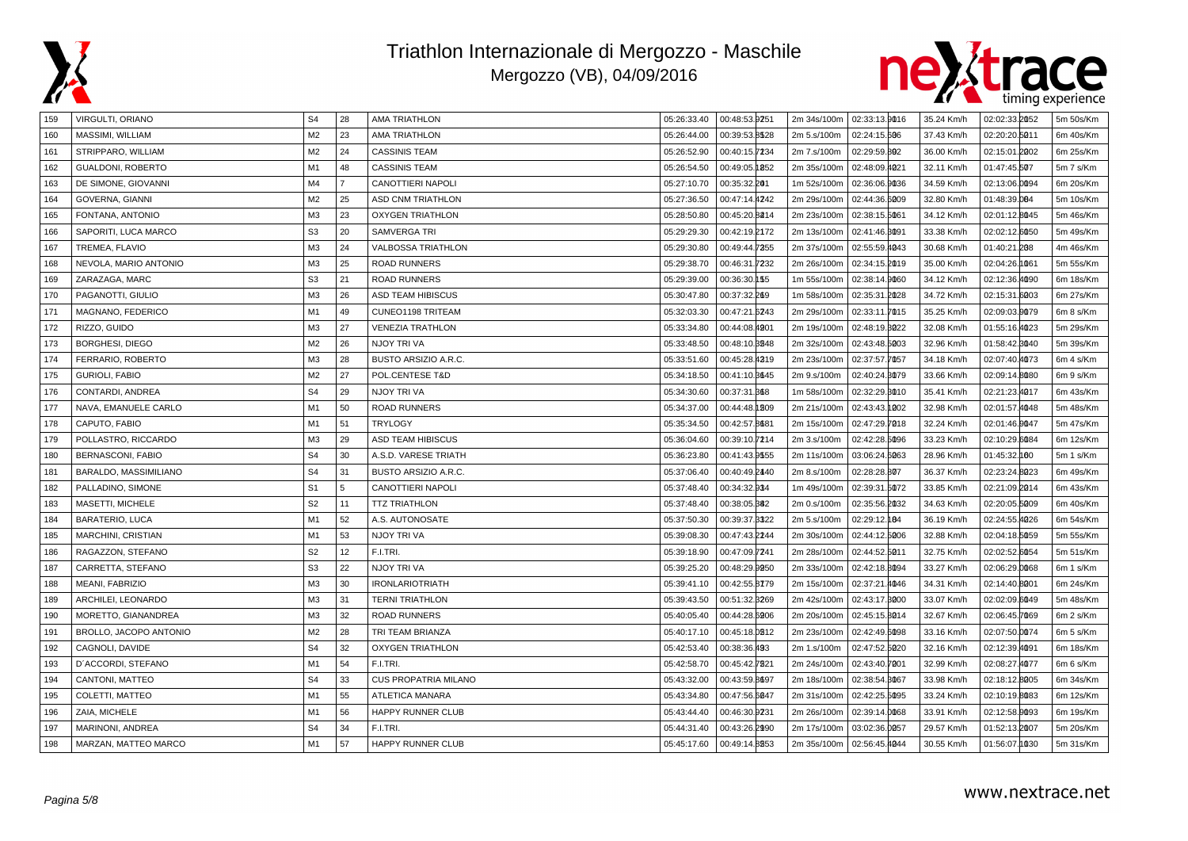



| 159 | VIRGULTI, ORIANO       | S <sub>4</sub> | 28             | AMA TRIATHLON               | 05:26:33.40 | 00:48:53.9251    | 2m 34s/100m   02:33:13.9016 |               | 35.24 Km/h | 02:02:33.2052 | 5m 50s/Km |
|-----|------------------------|----------------|----------------|-----------------------------|-------------|------------------|-----------------------------|---------------|------------|---------------|-----------|
| 160 | MASSIMI, WILLIAM       | M <sub>2</sub> | 23             | <b>AMA TRIATHLON</b>        | 05:26:44.00 | 00:39:53.8528    | 2m 5.s/100m                 | 02:24:15.606  | 37.43 Km/h | 02:20:20.5011 | 6m 40s/Km |
| 161 | STRIPPARO, WILLIAM     | M2             | 24             | <b>CASSINIS TEAM</b>        | 05:26:52.90 | 00:40:15.7234    | 2m 7.s/100m                 | 02:29:59.802  | 36.00 Km/h | 02:15:01.2002 | 6m 25s/Km |
| 162 | GUALDONI, ROBERTO      | M1             | 48             | <b>CASSINIS TEAM</b>        | 05:26:54.50 | 00:49:05.1852    | 2m 35s/100m                 | 02:48:09.4021 | 32.11 Km/h | 01:47:45.507  | 5m 7 s/Km |
| 163 | DE SIMONE, GIOVANNI    | M4             | $\overline{7}$ | CANOTTIERI NAPOLI           | 05:27:10.70 | 00:35:32.201     | 1m 52s/100m                 | 02:36:06.9036 | 34.59 Km/h | 02:13:06.0094 | 6m 20s/Km |
| 164 | <b>GOVERNA, GIANNI</b> | M <sub>2</sub> | 25             | <b>ASD CNM TRIATHLON</b>    | 05:27:36.50 | 00:47:14.4242    | 2m 29s/100m                 | 02:44:36.6009 | 32.80 Km/h | 01:48:39.004  | 5m 10s/Km |
| 165 | FONTANA, ANTONIO       | M3             | 23             | <b>OXYGEN TRIATHLON</b>     | 05:28:50.80 | 00:45:20.8214    | 2m 23s/100m                 | 02:38:15.5061 | 34.12 Km/h | 02:01:12.8045 | 5m 46s/Km |
| 166 | SAPORITI, LUCA MARCO   | S <sub>3</sub> | 20             | SAMVERGA TRI                | 05:29:29.30 | 00:42:19.2172    | 2m 13s/100m                 | 02:41:46.3091 | 33.38 Km/h | 02:02:12.6050 | 5m 49s/Km |
| 167 | TREMEA, FLAVIO         | M3             | 24             | <b>VALBOSSA TRIATHLON</b>   | 05:29:30.80 | 00:49:44.7355    | 2m 37s/100m                 | 02:55:59.4043 | 30.68 Km/h | 01:40:21.208  | 4m 46s/Km |
| 168 | NEVOLA, MARIO ANTONIO  | M <sub>3</sub> | 25             | <b>ROAD RUNNERS</b>         | 05:29:38.70 | 00:46:31<br>7232 | 2m 26s/100m                 | 02:34:15.2019 | 35.00 Km/h | 02:04:26.1061 | 5m 55s/Km |
| 169 | ZARAZAGA, MARC         | S <sub>3</sub> | 21             | <b>ROAD RUNNERS</b>         | 05:29:39.00 | 00:36:30.155     | 1m 55s/100m                 | 02:38:14.9060 | 34.12 Km/h | 02:12:36.4090 | 6m 18s/Km |
| 170 | PAGANOTTI, GIULIO      | M <sub>3</sub> | 26             | ASD TEAM HIBISCUS           | 05:30:47.80 | 00:37:32.269     | 1m 58s/100m                 | 02:35:31.2028 | 34.72 Km/h | 02:15:31.6003 | 6m 27s/Km |
| 171 | MAGNANO, FEDERICO      | M1             | 49             | CUNEO1198 TRITEAM           | 05:32:03.30 | 00:47:21.6243    | 2m 29s/100m                 | 02:33:11.7015 | 35.25 Km/h | 02:09:03.0079 | 6m 8 s/Km |
| 172 | RIZZO, GUIDO           | M <sub>3</sub> | 27             | <b>VENEZIA TRATHLON</b>     | 05:33:34.80 | 00:44:08.4901    | 2m 19s/100m                 | 02:48:19.3022 | 32.08 Km/h | 01:55:16.4023 | 5m 29s/Km |
| 173 | <b>BORGHESI, DIEGO</b> | M <sub>2</sub> | 26             | NJOY TRI VA                 | 05:33:48.50 | 00:48:10.3248    | 2m 32s/100m                 | 02:43:48.5003 | 32.96 Km/h | 01:58:42.8040 | 5m 39s/Km |
| 174 | FERRARIO, ROBERTO      | M <sub>3</sub> | 28             | BUSTO ARSIZIO A.R.C.        | 05:33:51.60 | 00:45:28.4319    | 2m 23s/100m                 | 02:37:57.7057 | 34.18 Km/h | 02:07:40.4073 | 6m 4 s/Km |
| 175 | <b>GURIOLI, FABIO</b>  | M <sub>2</sub> | 27             | POL.CENTESE T&D             | 05:34:18.50 | 00:41:10.8645    | 2m 9.s/100m                 | 02:40:24.3079 | 33.66 Km/h | 02:09:14.8080 | 6m 9 s/Km |
| 176 | CONTARDI, ANDREA       | S <sub>4</sub> | 29             | NJOY TRI VA                 | 05:34:30.60 | 00:37:31.868     | 1m 58s/100m                 | 02:32:29.3010 | 35.41 Km/h | 02:21:23.4017 | 6m 43s/Km |
| 177 | NAVA, EMANUELE CARLO   | M1             | 50             | <b>ROAD RUNNERS</b>         | 05:34:37.00 | 00:44:48.1209    | 2m 21s/100m                 | 02:43:43.1002 | 32.98 Km/h | 02:01:57.4048 | 5m 48s/Km |
| 178 | CAPUTO, FABIO          | M1             | 51             | <b>TRYLOGY</b>              | 05:35:34.50 | 00:42:57.8681    | 2m 15s/100m                 | 02:47:29.7018 | 32.24 Km/h | 02:01:46.0047 | 5m 47s/Km |
| 179 | POLLASTRO, RICCARDO    | M <sub>3</sub> | 29             | ASD TEAM HIBISCUS           | 05:36:04.60 | 00:39:10.7214    | 2m 3.s/100m                 | 02:42:28.5096 | 33.23 Km/h | 02:10:29.6084 | 6m 12s/Km |
| 180 | BERNASCONI, FABIO      | S <sub>4</sub> | 30             | A.S.D. VARESE TRIATH        | 05:36:23.80 | 00:41:43.9555    | 2m 11s/100m                 | 03:06:24.6063 | 28.96 Km/h | 01:45:32.100  | 5m 1 s/Km |
| 181 | BARALDO, MASSIMILIANO  | S <sub>4</sub> | 31             | BUSTO ARSIZIO A.R.C.        | 05:37:06.40 | 00:40:49.2440    | 2m 8.s/100m                 | 02:28:28.807  | 36.37 Km/h | 02:23:24.8023 | 6m 49s/Km |
| 182 | PALLADINO, SIMONE      | S <sub>1</sub> | 5              | CANOTTIERI NAPOLI           | 05:37:48.40 | 00:34:32.934     | 1m 49s/100m                 | 02:39:31.5072 | 33.85 Km/h | 02:21:09.2014 | 6m 43s/Km |
| 183 | MASETTI, MICHELE       | S <sub>2</sub> | 11             | <b>TTZ TRIATHLON</b>        | 05:37:48.40 | 00:38:05.882     | 2m 0.s/100m                 | 02:35:56.2032 | 34.63 Km/h | 02:20:05.5009 | 6m 40s/Km |
| 184 | BARATERIO, LUCA        | M <sub>1</sub> | 52             | A.S. AUTONOSATE             | 05:37:50.30 | 00:39:37.3322    | 2m 5.s/100m                 | 02:29:12.184  | 36.19 Km/h | 02:24:55.4026 | 6m 54s/Km |
| 185 | MARCHINI, CRISTIAN     | M <sub>1</sub> | 53             | NJOY TRI VA                 | 05:39:08.30 | 00:47:43.2244    | 2m 30s/100m                 | 02:44:12.5006 | 32.88 Km/h | 02:04:18.5059 | 5m 55s/Km |
| 186 | RAGAZZON, STEFANO      | S <sub>2</sub> | 12             | F.I.TRI.                    | 05:39:18.90 | 00:47:09.7241    | 2m 28s/100m                 | 02:44:52.5011 | 32.75 Km/h | 02:02:52.6054 | 5m 51s/Km |
| 187 | CARRETTA, STEFANO      | S <sub>3</sub> | 22             | NJOY TRI VA                 | 05:39:25.20 | 00:48:29.9950    | 2m 33s/100m                 | 02:42:18.8094 | 33.27 Km/h | 02:06:29.0068 | 6m 1 s/Km |
| 188 | MEANI, FABRIZIO        | M3             | 30             | <b>IRONLARIOTRIATH</b>      | 05:39:41.10 | 00:42:55.8779    | 2m 15s/100m                 | 02:37:21.4046 | 34.31 Km/h | 02:14:40.8001 | 6m 24s/Km |
| 189 | ARCHILEI, LEONARDO     | M <sub>3</sub> | 31             | <b>TERNI TRIATHLON</b>      | 05:39:43.50 | 00:51:32.3269    | 2m 42s/100m                 | 02:43:17.8000 | 33.07 Km/h | 02:02:09.6049 | 5m 48s/Km |
| 190 | MORETTO, GIANANDREA    | M <sub>3</sub> | 32             | <b>ROAD RUNNERS</b>         | 05:40:05.40 | 00:44:28.6906    | 2m 20s/100m                 | 02:45:15.8014 | 32.67 Km/h | 02:06:45.7069 | 6m 2 s/Km |
| 191 | BROLLO, JACOPO ANTONIO | M <sub>2</sub> | 28             | TRI TEAM BRIANZA            | 05:40:17.10 | 00:45:18.0212    | 2m 23s/100m                 | 02:42:49.6098 | 33.16 Km/h | 02:07:50.0074 | 6m 5 s/Km |
| 192 | CAGNOLI, DAVIDE        | S <sub>4</sub> | 32             | <b>OXYGEN TRIATHLON</b>     | 05:42:53.40 | 00:38:36.493     | 2m 1.s/100m                 | 02:47:52.5020 | 32.16 Km/h | 02:12:39.4091 | 6m 18s/Km |
| 193 | D'ACCORDI, STEFANO     | M1             | 54             | F.I.TRI.                    | 05:42:58.70 | 00:45:42.7821    | 2m 24s/100m                 | 02:43:40.7001 | 32.99 Km/h | 02:08:27.4077 | 6m 6 s/Km |
| 194 | CANTONI, MATTEO        | S <sub>4</sub> | 33             | <b>CUS PROPATRIA MILANO</b> | 05:43:32.00 | 00:43:59.8697    | 2m 18s/100m                 | 02:38:54.3067 | 33.98 Km/h | 02:18:12.8005 | 6m 34s/Km |
| 195 | COLETTI, MATTEO        | M1             | 55             | <b>ATLETICA MANARA</b>      | 05:43:34.80 | 00:47:56.6047    | 2m 31s/100m                 | 02:42:25.5095 | 33.24 Km/h | 02:10:19.8083 | 6m 12s/Km |
| 196 | ZAIA, MICHELE          | M1             | 56             | <b>HAPPY RUNNER CLUB</b>    | 05:43:44.40 | 00:46:30.9231    | 2m 26s/100m                 | 02:39:14.0068 | 33.91 Km/h | 02:12:58.0093 | 6m 19s/Km |
| 197 | MARINONI, ANDREA       | S <sub>4</sub> | 34             | F.I.TRI.                    | 05:44:31.40 | 00:43:26.2990    | 2m 17s/100m                 | 03:02:36.0057 | 29.57 Km/h | 01:52:13.2007 | 5m 20s/Km |
| 198 | MARZAN, MATTEO MARCO   | M1             | 57             | <b>HAPPY RUNNER CLUB</b>    | 05:45:17.60 | 00:49:14.8253    | 2m 35s/100m                 | 02:56:45.4044 | 30.55 Km/h | 01:56:07.1030 | 5m 31s/Km |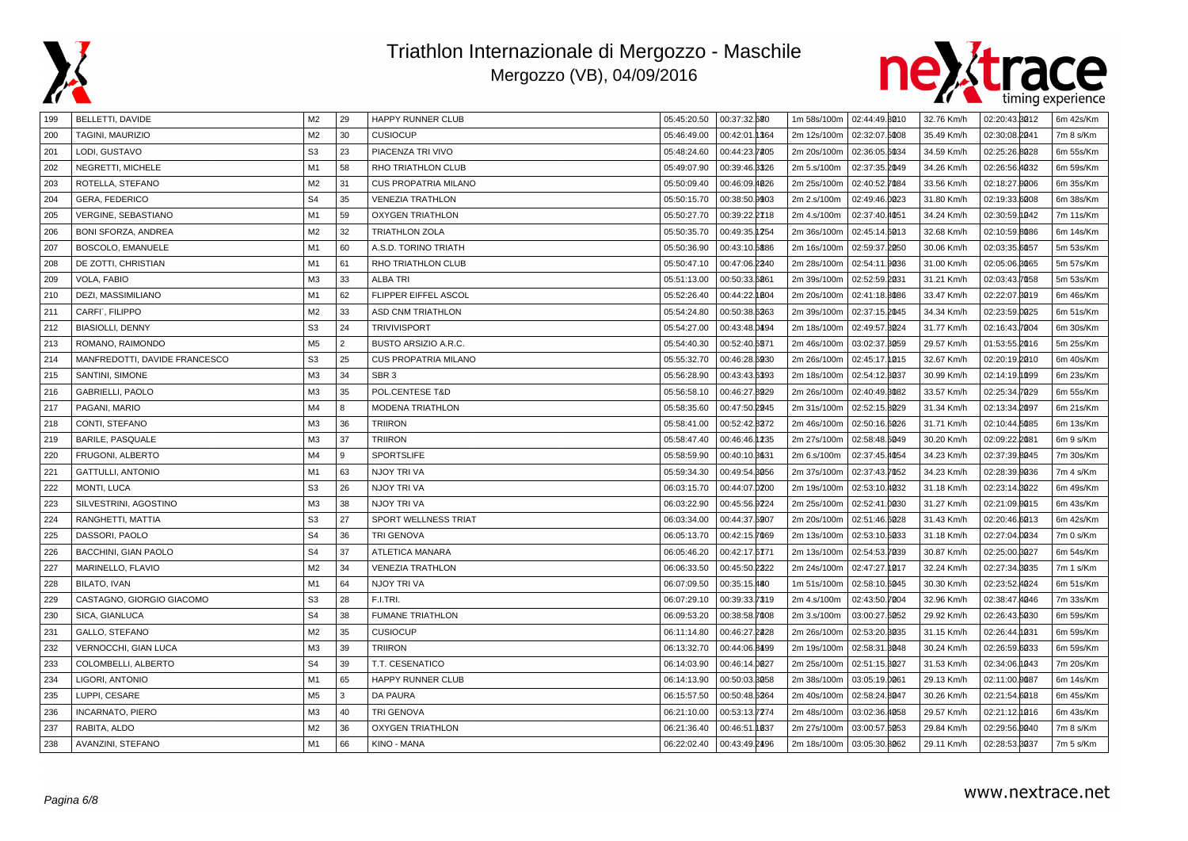



| 199 | BELLETTI, DAVIDE              | M <sub>2</sub> | 29         | <b>HAPPY RUNNER CLUB</b>    | 05:45:20.50 | 00:37:32.680      | 1m 58s/100m | 02:44:49.8010 | 32.76 Km/h | 02:20:43.8012 | 6m 42s/Km |
|-----|-------------------------------|----------------|------------|-----------------------------|-------------|-------------------|-------------|---------------|------------|---------------|-----------|
| 200 | TAGINI, MAURIZIO              | M <sub>2</sub> | 30         | <b>CUSIOCUP</b>             | 05:46:49.00 | 00:42:01.1364     | 2m 12s/100m | 02:32:07.5008 | 35.49 Km/h | 02:30:08.2041 | 7m 8 s/Km |
| 201 | LODI, GUSTAVO                 | S <sub>3</sub> | 23         | PIACENZA TRI VIVO           | 05:48:24.60 | 00:44:23.7205     | 2m 20s/100m | 02:36:05.6034 | 34.59 Km/h | 02:25:26.8028 | 6m 55s/Km |
| 202 | NEGRETTI, MICHELE             | M <sub>1</sub> | 58         | RHO TRIATHLON CLUB          | 05:49:07.90 | 00:39:46.3326     | 2m 5.s/100m | 02:37:35.2049 | 34.26 Km/h | 02:26:56.4032 | 6m 59s/Km |
| 203 | ROTELLA, STEFANO              | M <sub>2</sub> | 31         | <b>CUS PROPATRIA MILANO</b> | 05:50:09.40 | 00:46:09.4026     | 2m 25s/100m | 02:40:52.7084 | 33.56 Km/h | 02:18:27.9006 | 6m 35s/Km |
| 204 | GERA, FEDERICO                | S <sub>4</sub> | 35         | <b>VENEZIA TRATHLON</b>     | 05:50:15.70 | 00:38:50.9903     | 2m 2.s/100m | 02:49:46.0023 | 31.80 Km/h | 02:19:33.6008 | 6m 38s/Km |
| 205 | <b>VERGINE, SEBASTIANO</b>    | M <sub>1</sub> | 59         | <b>OXYGEN TRIATHLON</b>     | 05:50:27.70 | 00:39:22.2718     | 2m 4.s/100m | 02:37:40.4051 | 34.24 Km/h | 02:30:59.1042 | 7m 11s/Km |
| 206 | <b>BONI SFORZA, ANDREA</b>    | M <sub>2</sub> | 32         | <b>TRIATHLON ZOLA</b>       | 05:50:35.70 | 00:49:35.1254     | 2m 36s/100m | 02:45:14.6013 | 32.68 Km/h | 02:10:59.8086 | 6m 14s/Km |
| 207 | BOSCOLO, EMANUELE             | M <sub>1</sub> | 60         | A.S.D. TORINO TRIATH        | 05:50:36.90 | 00:43:10.5886     | 2m 16s/100m | 02:59:37.2050 | 30.06 Km/h | 02:03:35.6057 | 5m 53s/Km |
| 208 | DE ZOTTI, CHRISTIAN           | M1             | 61         | RHO TRIATHLON CLUB          | 05:50:47.10 | 00:47:06.2340     | 2m 28s/100m | 02:54:11.9036 | 31.00 Km/h | 02:05:06.3065 | 5m 57s/Km |
| 209 | VOLA, FABIO                   | M <sub>3</sub> | 33         | <b>ALBA TRI</b>             | 05:51:13.00 | 00:50:33.6861     | 2m 39s/100m | 02:52:59.2031 | 31.21 Km/h | 02:03:43.7058 | 5m 53s/Km |
| 210 | DEZI, MASSIMILIANO            | M1             | 62         | FLIPPER EIFFEL ASCOL        | 05:52:26.40 | 00:44:22.1004     | 2m 20s/100m | 02:41:18.8086 | 33.47 Km/h | 02:22:07.8019 | 6m 46s/Km |
| 211 | CARFI', FILIPPO               | M <sub>2</sub> | 33         | <b>ASD CNM TRIATHLON</b>    | 05:54:24.80 | 00:50:38.6263     | 2m 39s/100m | 02:37:15.2045 | 34.34 Km/h | 02:23:59.0025 | 6m 51s/Km |
| 212 | <b>BIASIOLLI, DENNY</b>       | S <sub>3</sub> | 24         | <b>TRIVIVISPORT</b>         | 05:54:27.00 | 00:43:48.0494     | 2m 18s/100m | 02:49:57.8024 | 31.77 Km/h | 02:16:43.7004 | 6m 30s/Km |
| 213 | ROMANO, RAIMONDO              | M <sub>5</sub> | $\sqrt{2}$ | BUSTO ARSIZIO A.R.C.        | 05:54:40.30 | 00:52:40.5871     | 2m 46s/100m | 03:02:37.3059 | 29.57 Km/h | 01:53:55.2016 | 5m 25s/Km |
| 214 | MANFREDOTTI, DAVIDE FRANCESCO | S <sub>3</sub> | 25         | <b>CUS PROPATRIA MILANO</b> | 05:55:32.70 | 00:46:28.6930     | 2m 26s/100m | 02:45:17.1015 | 32.67 Km/h | 02:20:19.2010 | 6m 40s/Km |
| 215 | SANTINI, SIMONE               | M <sub>3</sub> | 34         | SBR <sub>3</sub>            | 05:56:28.90 | 00:43:43.6393     | 2m 18s/100m | 02:54:12.3037 | 30.99 Km/h | 02:14:19.099  | 6m 23s/Km |
| 216 | GABRIELLI, PAOLO              | M <sub>3</sub> | 35         | POL.CENTESE T&D             | 05:56:58.10 | 00:46:27.8929     | 2m 26s/100m | 02:40:49.8082 | 33.57 Km/h | 02:25:34.7029 | 6m 55s/Km |
| 217 | PAGANI, MARIO                 | M4             | 8          | <b>MODENA TRIATHLON</b>     | 05:58:35.60 | 00:47:50.2945     | 2m 31s/100m | 02:52:15.8029 | 31.34 Km/h | 02:13:34.2097 | 6m 21s/Km |
| 218 | CONTI, STEFANO                | M <sub>3</sub> | 36         | <b>TRIIRON</b>              | 05:58:41.00 | 00:52:42.8272     | 2m 46s/100m | 02:50:16.6026 | 31.71 Km/h | 02:10:44.5085 | 6m 13s/Km |
| 219 | BARILE, PASQUALE              | M3             | 37         | <b>TRIIRON</b>              | 05:58:47.40 | 00:46:46.1235     | 2m 27s/100m | 02:58:48.5049 | 30.20 Km/h | 02:09:22.2081 | 6m 9 s/Km |
| 220 | FRUGONI, ALBERTO              | M4             | 9          | <b>SPORTSLIFE</b>           | 05:58:59.90 | 00:40:10.3631     | 2m 6.s/100m | 02:37:45.4054 | 34.23 Km/h | 02:37:39.8045 | 7m 30s/Km |
| 221 | GATTULLI, ANTONIO             | M <sub>1</sub> | 63         | NJOY TRI VA                 | 05:59:34.30 | 00:49:54.8056     | 2m 37s/100m | 02:37:43.7052 | 34.23 Km/h | 02:28:39.9036 | 7m 4 s/Km |
| 222 | MONTI, LUCA                   | S <sub>3</sub> | 26         | NJOY TRI VA                 | 06:03:15.70 | 00:44:07.0200     | 2m 19s/100m | 02:53:10.4032 | 31.18 Km/h | 02:23:14.8022 | 6m 49s/Km |
| 223 | SILVESTRINI, AGOSTINO         | M <sub>3</sub> | 38         | NJOY TRI VA                 | 06:03:22.90 | 00:45:56.9224     | 2m 25s/100m | 02:52:41.0030 | 31.27 Km/h | 02:21:09.0015 | 6m 43s/Km |
| 224 | RANGHETTI, MATTIA             | S <sub>3</sub> | 27         | SPORT WELLNESS TRIAT        | 06:03:34.00 | 00:44:37.5907     | 2m 20s/100m | 02:51:46.6028 | 31.43 Km/h | 02:20:46.6013 | 6m 42s/Km |
| 225 | DASSORI, PAOLO                | S <sub>4</sub> | 36         | <b>TRI GENOVA</b>           | 06:05:13.70 | 00:42:15.7069     | 2m 13s/100m | 02:53:10.5033 | 31.18 Km/h | 02:27:04.0034 | 7m 0 s/Km |
| 226 | BACCHINI, GIAN PAOLO          | S <sub>4</sub> | 37         | ATLETICA MANARA             | 06:05:46.20 | 00:42:17.6771     | 2m 13s/100m | 02:54:53.7039 | 30.87 Km/h | 02:25:00.3027 | 6m 54s/Km |
| 227 | MARINELLO, FLAVIO             | M <sub>2</sub> | 34         | <b>VENEZIA TRATHLON</b>     | 06:06:33.50 | 00:45:50.2322     | 2m 24s/100m | 02:47:27.1017 | 32.24 Km/h | 02:27:34.8035 | 7m 1 s/Km |
| 228 | <b>BILATO, IVAN</b>           | M <sub>1</sub> | 64         | NJOY TRI VA                 | 06:07:09.50 | 00:35:15.480      | 1m 51s/100m | 02:58:10.6045 | 30.30 Km/h | 02:23:52.4024 | 6m 51s/Km |
| 229 | CASTAGNO, GIORGIO GIACOMO     | S <sub>3</sub> | 28         | F.I.TRI.                    | 06:07:29.10 | 00:39:33.7319     | 2m 4.s/100m | 02:43:50.7004 | 32.96 Km/h | 02:38:47.4046 | 7m 33s/Km |
| 230 | SICA, GIANLUCA                | S <sub>4</sub> | 38         | <b>FUMANE TRIATHLON</b>     | 06:09:53.20 | 00:38:58.7008     | 2m 3.s/100m | 03:00:27.6052 | 29.92 Km/h | 02:26:43.5030 | 6m 59s/Km |
| 231 | GALLO, STEFANO                | M2             | 35         | <b>CUSIOCUP</b>             | 06:11:14.80 | 00:46:27.2228     | 2m 26s/100m | 02:53:20.3035 | 31.15 Km/h | 02:26:44.1031 | 6m 59s/Km |
| 232 | VERNOCCHI, GIAN LUCA          | M <sub>3</sub> | 39         | <b>TRIIRON</b>              | 06:13:32.70 | 00:44:06.8499     | 2m 19s/100m | 02:58:31.8048 | 30.24 Km/h | 02:26:59.6033 | 6m 59s/Km |
| 233 | COLOMBELLI, ALBERTO           | S <sub>4</sub> | 39         | T.T. CESENATICO             | 06:14:03.90 | 00:46:14.0027     | 2m 25s/100m | 02:51:15.3027 | 31.53 Km/h | 02:34:06.1043 | 7m 20s/Km |
| 234 | LIGORI, ANTONIO               | M1             | 65         | <b>HAPPY RUNNER CLUB</b>    | 06:14:13.90 | 00:50:03.8058     | 2m 38s/100m | 03:05:19.0061 | 29.13 Km/h | 02:11:00.0087 | 6m 14s/Km |
| 235 | LUPPI, CESARE                 | M <sub>5</sub> | l 3        | <b>DA PAURA</b>             | 06:15:57.50 | 00:50:48.5264     | 2m 40s/100m | 02:58:24.8047 | 30.26 Km/h | 02:21:54.6018 | 6m 45s/Km |
| 236 | <b>INCARNATO, PIERO</b>       | M <sub>3</sub> | 40         | <b>TRI GENOVA</b>           | 06:21:10.00 | 00:53:13.7274     | 2m 48s/100m | 03:02:36.4058 | 29.57 Km/h | 02:21:12.0016 | 6m 43s/Km |
| 237 | RABITA, ALDO                  | M <sub>2</sub> | 36         | <b>OXYGEN TRIATHLON</b>     | 06:21:36.40 | 00:46:51<br>1037. | 2m 27s/100m | 03:00:57.6053 | 29.84 Km/h | 02:29:56.9040 | 7m 8 s/Km |
| 238 | AVANZINI, STEFANO             | M1             | 66         | KINO - MANA                 | 06:22:02.40 | 00:43:49.2496     | 2m 18s/100m | 03:05:30.8062 | 29.11 Km/h | 02:28:53.8037 | 7m 5 s/Km |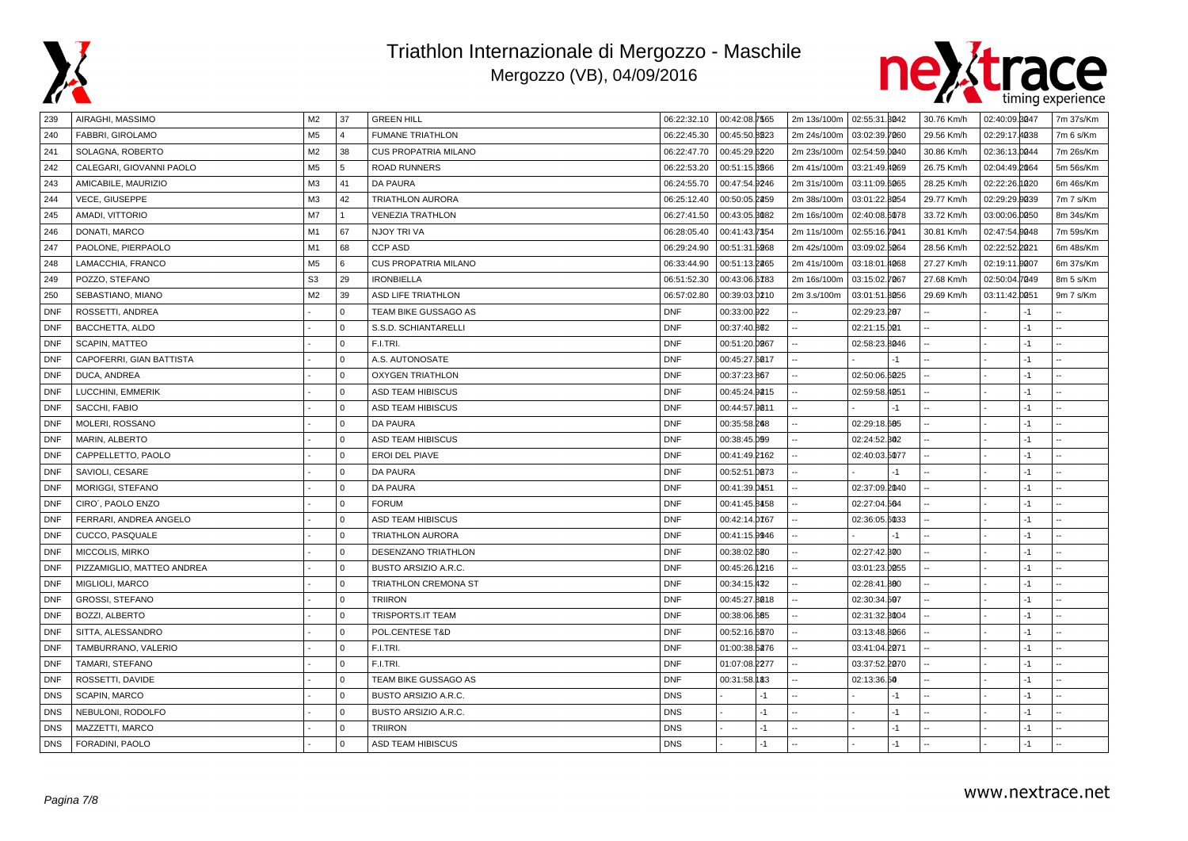



| 239        | AIRAGHI, MASSIMO           | M <sub>2</sub> | 37          | <b>GREEN HILL</b>           |             | 06:22:32.10  00:42:08.7565 | 2m 13s/100m | 02:55:31.3042 |      | 30.76 Km/h | 02:40:09.3047 |      | 7m 37s/Km |
|------------|----------------------------|----------------|-------------|-----------------------------|-------------|----------------------------|-------------|---------------|------|------------|---------------|------|-----------|
| 240        | FABBRI, GIROLAMO           | M <sub>5</sub> | $\Delta$    | <b>FUMANE TRIATHLON</b>     | 06:22:45.30 | 00:45:50.8223              | 2m 24s/100m | 03:02:39.7060 |      | 29.56 Km/h | 02:29:17.4038 |      | 7m 6 s/Km |
| 241        | SOLAGNA, ROBERTO           | M <sub>2</sub> | 38          | <b>CUS PROPATRIA MILANO</b> | 06:22:47.70 | 00:45:29.6220              | 2m 23s/100m | 02:54:59.0040 |      | 30.86 Km/h | 02:36:13.0044 |      | 7m 26s/Km |
| 242        | CALEGARI, GIOVANNI PAOLO   | M <sub>5</sub> | 5           | <b>ROAD RUNNERS</b>         | 06:22:53.20 | 00:51:15.3266              | 2m 41s/100m | 03:21:49.4069 |      | 26.75 Km/h | 02:04:49.2064 |      | 5m 56s/Km |
| 243        | AMICABILE, MAURIZIO        | M <sub>3</sub> | 41          | DA PAURA                    | 06:24:55.70 | 00:47:54.9246              | 2m 31s/100m | 03:11:09.6065 |      | 28.25 Km/h | 02:22:26.1020 |      | 6m 46s/Km |
| 244        | <b>VECE, GIUSEPPE</b>      | M <sub>3</sub> | 42          | <b>TRIATHLON AURORA</b>     | 06:25:12.40 | 00:50:05.2259              | 2m 38s/100m | 03:01:22.8054 |      | 29.77 Km/h | 02:29:29.9039 |      | 7m 7 s/Km |
| 245        | AMADI, VITTORIO            | M7             |             | <b>VENEZIA TRATHLON</b>     | 06:27:41.50 | 00:43:05.8082              | 2m 16s/100m | 02:40:08.6078 |      | 33.72 Km/h | 03:00:06.0050 |      | 8m 34s/Km |
| 246        | DONATI, MARCO              | M1             | 67          | NJOY TRI VA                 | 06:28:05.40 | 00:41:43.7354              | 2m 11s/100m | 02:55:16.7041 |      | 30.81 Km/h | 02:47:54.0048 |      | 7m 59s/Km |
| 247        | PAOLONE, PIERPAOLO         | M1             | 68          | <b>CCP ASD</b>              | 06:29:24.90 | 00:51:31.5968              | 2m 42s/100m | 03:09:02.5064 |      | 28.56 Km/h | 02:22:52.2021 |      | 6m 48s/Km |
| 248        | LAMACCHIA, FRANCO          | M <sub>5</sub> | 6           | <b>CUS PROPATRIA MILANO</b> | 06:33:44.90 | 00:51:13.2265              | 2m 41s/100m | 03:18:01.4068 |      | 27.27 Km/h | 02:19:11.0007 |      | 6m 37s/Km |
| 249        | POZZO, STEFANO             | S <sub>3</sub> | 29          | <b>IRONBIELLA</b>           | 06:51:52.30 | 00:43:06.6783              | 2m 16s/100m | 03:15:02.7067 |      | 27.68 Km/h | 02:50:04.7049 |      | 8m 5 s/Km |
| 250        | SEBASTIANO, MIANO          | M <sub>2</sub> | 39          | <b>ASD LIFE TRIATHLON</b>   | 06:57:02.80 | 00:39:03.0210              | 2m 3.s/100m | 03:01:51.8056 |      | 29.69 Km/h | 03:11:42.0051 |      | 9m 7 s/Km |
| <b>DNF</b> | ROSSETTI, ANDREA           |                | $\Omega$    | TEAM BIKE GUSSAGO AS        | <b>DNF</b>  | 00:33:00.922               |             | 02:29:23.207  |      |            |               | -1   |           |
| <b>DNF</b> | BACCHETTA, ALDO            |                | $\mathbf 0$ | S.S.D. SCHIANTARELLI        | <b>DNF</b>  | 00:37:40.802               |             | 02:21:15.001  |      |            |               | $-1$ |           |
| <b>DNF</b> | SCAPIN, MATTEO             |                | $\Omega$    | F.I.TRI.                    | <b>DNF</b>  | 00:51:20.0967              |             | 02:58:23.8046 |      |            |               | -1   |           |
| <b>DNF</b> | CAPOFERRI, GIAN BATTISTA   |                | $\Omega$    | A.S. AUTONOSATE             | <b>DNF</b>  | 00:45:27.6017              |             |               | $-1$ |            |               | $-1$ |           |
| <b>DNF</b> | DUCA, ANDREA               |                | $\Omega$    | <b>OXYGEN TRIATHLON</b>     | <b>DNF</b>  | 00:37:23.867               |             | 02:50:06.6025 |      |            |               | $-1$ |           |
| <b>DNF</b> | LUCCHINI, EMMERIK          |                | $\Omega$    | ASD TEAM HIBISCUS           | <b>DNF</b>  | 00:45:24.9215              |             | 02:59:58.4051 |      |            |               | $-1$ |           |
| <b>DNF</b> | SACCHI, FABIO              |                | $\Omega$    | <b>ASD TEAM HIBISCUS</b>    | <b>DNF</b>  | 00:44:57.9011              |             |               | $-1$ |            |               | $-1$ |           |
| <b>DNF</b> | MOLERI, ROSSANO            |                | $\Omega$    | <b>DA PAURA</b>             | <b>DNF</b>  | 00:35:58.268               |             | 02:29:18.605  |      |            |               | $-1$ |           |
| <b>DNF</b> | MARIN, ALBERTO             |                | $\Omega$    | <b>ASD TEAM HIBISCUS</b>    | <b>DNF</b>  | 00:38:45.099               |             | 02:24:52.302  |      |            |               | -1   |           |
| <b>DNF</b> | CAPPELLETTO, PAOLO         |                | $\Omega$    | EROI DEL PIAVE              | <b>DNF</b>  | 00:41:49.2162              |             | 02:40:03.5077 |      |            |               | -1   |           |
| <b>DNF</b> | SAVIOLI, CESARE            |                | $\Omega$    | DA PAURA                    | <b>DNF</b>  | 00:52:51.0073              |             |               | -1   |            |               | -1   |           |
| <b>DNF</b> | MORIGGI, STEFANO           |                | $\Omega$    | <b>DA PAURA</b>             | <b>DNF</b>  | 00:41:39.0451              |             | 02:37:09.2040 |      |            |               | $-1$ |           |
| <b>DNF</b> | CIRO', PAOLO ENZO          |                | $\Omega$    | <b>FORUM</b>                | <b>DNF</b>  | 00:41:45.8458              |             | 02:27:04.564  |      |            |               | -1   |           |
| <b>DNF</b> | FERRARI, ANDREA ANGELO     |                | $\Omega$    | <b>ASD TEAM HIBISCUS</b>    | <b>DNF</b>  | 00:42:14.0767              |             | 02:36:05.6033 |      |            |               | $-1$ |           |
| <b>DNF</b> | CUCCO, PASQUALE            |                | $\Omega$    | <b>TRIATHLON AURORA</b>     | <b>DNF</b>  | 00:41:15.9946              |             |               | $-1$ |            |               | -1   |           |
| <b>DNF</b> | MICCOLIS, MIRKO            |                | $\Omega$    | DESENZANO TRIATHLON         | <b>DNF</b>  | 00:38:02.680               |             | 02:27:42.300  |      |            |               | $-1$ |           |
| <b>DNF</b> | PIZZAMIGLIO, MATTEO ANDREA |                | $\Omega$    | BUSTO ARSIZIO A.R.C.        | <b>DNF</b>  | 00:45:26.1216              |             | 03:01:23.0055 |      |            |               | $-1$ |           |
| <b>DNF</b> | MIGLIOLI, MARCO            |                | $\Omega$    | TRIATHLON CREMONA ST        | <b>DNF</b>  | 00:34:15.432               |             | 02:28:41.800  |      |            |               | $-1$ |           |
| <b>DNF</b> | <b>GROSSI, STEFANO</b>     |                | $\mathbf 0$ | <b>TRIIRON</b>              | <b>DNF</b>  | 00:45:27.8018              |             | 02:30:34.507  |      |            |               | -1   |           |
| DNF        | BOZZI, ALBERTO             |                | $\mathbf 0$ | TRISPORTS.IT TEAM           | <b>DNF</b>  | 00:38:06.665               |             | 02:31:32.8004 |      |            |               | -1   |           |
| <b>DNF</b> | SITTA, ALESSANDRO          |                | $\Omega$    | POL.CENTESE T&D             | <b>DNF</b>  | 00:52:16.5270              |             | 03:13:48.8066 |      |            |               | -1   |           |
| <b>DNF</b> | TAMBURRANO, VALERIO        |                | $\Omega$    | F.I.TRI.                    | <b>DNF</b>  | 01:00:38.5276              |             | 03:41:04.2071 |      |            |               | $-1$ |           |
| <b>DNF</b> | TAMARI, STEFANO            |                | $\Omega$    | F.I.TRI.                    | <b>DNF</b>  | 01:07:08.2277              |             | 03:37:52.2070 |      |            |               | -1   |           |
| <b>DNF</b> | ROSSETTI, DAVIDE           |                | $\Omega$    | TEAM BIKE GUSSAGO AS        | <b>DNF</b>  | 00:31:58.183               |             | 02:13:36.50   |      |            |               | $-1$ |           |
| <b>DNS</b> | SCAPIN, MARCO              |                | $\Omega$    | BUSTO ARSIZIO A.R.C.        | <b>DNS</b>  | $-1$                       |             |               | $-1$ |            |               | $-1$ |           |
| <b>DNS</b> | NEBULONI, RODOLFO          |                | $\Omega$    | BUSTO ARSIZIO A.R.C.        | <b>DNS</b>  | -1                         |             |               | -1   |            |               | -1   |           |
| <b>DNS</b> | MAZZETTI, MARCO            |                | $\Omega$    | <b>TRIIRON</b>              | <b>DNS</b>  | $-1$                       |             |               | $-1$ |            |               | $-1$ |           |
| <b>DNS</b> | FORADINI, PAOLO            |                | $\mathbf 0$ | <b>ASD TEAM HIBISCUS</b>    | <b>DNS</b>  | $-1$                       |             |               | $-1$ |            |               | $-1$ |           |